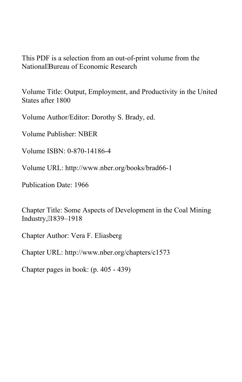This PDF is a selection from an out-of-print volume from the National 'Bureau of Economic Research

Volume Title: Output, Employment, and Productivity in the United States after 1800

Volume Author/Editor: Dorothy S. Brady, ed.

Volume Publisher: NBER

Volume ISBN: 0-870-14186-4

Volume URL: http://www.nber.org/books/brad66-1

Publication Date: 1966

Chapter Title: Some Aspects of Development in the Coal Mining Industry, "1839-1918

Chapter Author: Vera F. Eliasberg

Chapter URL: http://www.nber.org/chapters/c1573

Chapter pages in book: (p. 405 - 439)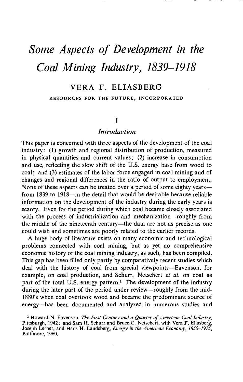# Some Aspects of Development in the Coal Mining Industry, 1839—1918

# VERA F. ELIASBERG

RESOURCES FOR THE FUTURE, INCORPORATED

# I

# **Introduction**

This paper is concerned with three aspects of the development of the coal industry: (1) growth and regional distribution of production, measured in physical quantities and current values; (2) increase in consumption and use, reflecting the slow shift of the U.S. energy base from wood to coal; and (3) estimates of the labor force engaged in coal mining and of changes and regional differences in the ratio of output to employment. None of these aspects can be treated over a period of some eighty years from 1839 to 1918—in the detail that would be desirable because reliable information on the development of the industry during the early years is scanty. Even for the period during which coal became closely associated with the process of industrialization and mechanization—roughly from the middle of the nineteenth century—the data are not as precise as one could wish and sometimes are poorly related to the earlier records.

A huge body of literature exists on many economic and technological problems connected with coal mining, but as yet no comprehensive economic history of the coal mining industry, as such, has been compiled. This gap has been filled only partly by comparatively recent studies which deal with the history of coal from special viewpoints—Eavenson, for example, on coal production, and Schurr, Netschert et al. on coal as part of the total U.S. energy pattern.<sup>1</sup> The development of the industry during the later part of the period under review—roughly from the mid-1880's when coal overtook wood and became the predominant source of energy—has been documented and analyzed in numerous studies and

<sup>&</sup>lt;sup>1</sup> Howard N. Eavenson, The First Century and a Quarter of American Coal Industry, Pittsburgh, 1942; and Sam H. Schurr and Bruce C. Netschert, with Vera F. Eliasberg, Joseph Lerner, and Hans H. Landsberg, Energy in the American Economy, 1850—1975, Baltimore, 1960.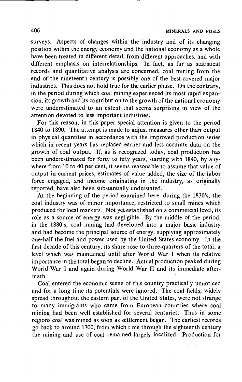surveys. Aspects of changes within the industry and of its changing position within the energy economy and the national economy as a whole have been treated in different detail, from different approaches, and with different emphasis on interrelationships. In fact, as far as statistical records and quantitative analysis are concerned, coal mining from the end of the nineteenth century is possibly one of the best-covered major industries. This does not hold true for the earlier phase. On the contrary, in the period during which coal mining experienced its most rapid expansion, its growth and its contribution to the growth of the national economy were underestimated to an extent that seems surprising in view of the attention devoted to less important industries.

For this reason, in this paper special attention is given to the period 1840 to 1890. The attempt is made to adjust measures other than output in physical quantities in accordance with the improved production series which in recent years has replaced earlier and less accurate data on the growth of coal output. If, as is recognized today, coal production has been underestimated for forty to fifty years, starting with 1840, by anywhere from 10 to 40 per cent, it seems reasonable to assume that value of output in current prices, estimates of value added, the size of the labor force engaged, and income originating in the industry, as originally reported, have also been substantially understated.

At the beginning of the period examined here, during the 1830's, the coal industry was of minor importance, restricted to small mines which produced for local markets. Not yet established on a commercial level, its role as a source of energy was negligible. By the middle of the period, in the 1880's, coal mining had developed into a major basic industry and had become the principal source of energy, supplying approximately one-half the fuel and power used by the United States economy. In the first decade of this century, its share rose to three-quarters of the total, a level which was maintained until after World War I when its relative importance in the total began to decline. Actual production peaked during World War I and again during World War II and its immediate aftermath.

Coal entered the economic scene of this country practically unnoticed and for a long time its potentials were ignored. The coal fields, widely spread throughout the eastern part of the United States, were not strange to many immigrants, who came from European countries where coal mining had been well established for several centuries. Thus in some regions coal was mined as soon as settlement began. The earliest records go back to around 1700, from which time through the eighteenth century the mining and use of coal remained largely localized. Production for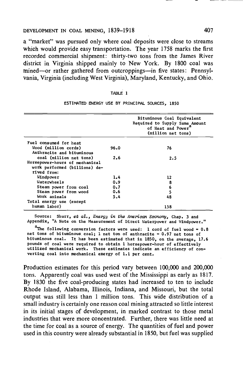a "market" was pursued only where coal deposits were close to streams which would provide easy transportation. The year 1758 marks the first recorded commercial shipment: thirty-two tons from the James River district in Virginia shipped mainly to New York. By 1800 coal was mined—or rather gathered from outcroppings—in five states: Pennsylvania, Virginia (including West Virginia), Maryland, Kentucky, and Ohio.

### TABLE 1

|                                |      | Bituminous Coal Equivalent<br>Required to Supply Same Amount<br>of Heat and Power<br>(million net tons) |
|--------------------------------|------|---------------------------------------------------------------------------------------------------------|
| Fuel consumed for heat         |      |                                                                                                         |
| Wood (million cords)           | 96.0 | 76                                                                                                      |
| Anthracite and bituminous      |      |                                                                                                         |
| coal (million net tons)        | 2.6  | 2.5                                                                                                     |
| Horsepower-hours of mechanical |      |                                                                                                         |
| work performed (billions) de-  |      |                                                                                                         |
| rived from:                    |      |                                                                                                         |
| Windpower                      | 1.4  | 12                                                                                                      |
| <b>Waterwheels</b>             | 0.9  | 8                                                                                                       |
| Steam power from coal          | 0.7  | 6                                                                                                       |
| Steam power from wood          | 0.6  | 5                                                                                                       |
| Work animals                   | 5.4  | 48                                                                                                      |
| Total energy use (except       |      |                                                                                                         |
| human labor)                   |      | 158                                                                                                     |

### ESTIMATED ENERGY USE BY PRINCIPAL SOURCES, 1850

Source: Shurr, et al., Energy in the American Economy, Chap. 3 and Appendix, "A Note on the Measurement of Direct Waterpower and Windpower."

The following conversion factors were used: 1 cord of fuel wood = 0.8 net tons of bituminous coal; 1 net ton of anthracite = 0.97 net tons of bituminous coal. It has been estimated that in 1850, on the average, 17.6 pounds of coal were required to obtain 1 horsepower—hour of effectively utilized mechanical work. These estimates indicate an efficiency of converting coal into mechanical energy of 1.1 per cent.

Production estimates for this period vary between 100,000 and 200,000 tons. Apparently coal was used west of the Mississippi as early as 1817. By 1830 the five coal-producing states had increased to ten to include Rhode Island, Alabama, Illinois, Indiana, and Missouri, but the total output was still less than 1 million tons. This wide distribution of a small industry is certainly one reason coal mining attracted so little interest in its initial stages of development, in marked contrast to those metal industries that were more concentrated. Further, there was little need at the time for coal as a source of energy. The quantities of fuel and power used in this country were already substantial in 1850, but fuel was supplied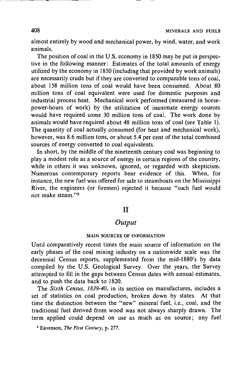almost entirely by wood and mechanical power, by wind, water, and work animals.

The position of coal in the U.S. economy in 1850 may be put in perspective in the following manner: Estimates of the total amounts of energy utilized by the economy in 1850 (including that provided by work animals) are necessarily crude but if they are converted to comparable tons of coal, about 158 million tons of coal would have been consumed. About 80 million tons of coal equivalent were used for domestic purposes and industrial process heat. Mechanical work performed (measured in horsepower-hours of work) by the utilization of inanimate energy sources would have required some 30 million tons of coal. The work done by animals would have required about 48 million tons of coal (see Table 1). The quantity of coal actually consumed (for heat and mechanical work), however, was 8.6 million tons, or about 5.4 per cent of the total combined sources of energy converted to coal equivalents.

In short, by the middle of the nineteenth century coal was beginning to play a modest role as a source of energy in certain regions of the country, while in others it was unknown, ignored, or regarded with skepticism. Numerous contemporary reports bear evidence of this. When, for instance, the new fuel was offered for sale to steamboats on the Mississippi River, the engineers (or firemen) rejected it because "such fuel would not make steam."2

# II

# **Output**

### MAIN SOURCES OF INFORMATION

Until comparatively recent times the main source of information on the early phases of the coal mining industry on a nationwide scale was the decennial Census reports, supplemented from the mid-1880's by data compiled by the U.S. Geological Survey. Over the years, the Survey attempted to fill in the gaps between Census dates with annual estimates, and to push the data back to 1820.

The Sixth Census, 1839-40, in its section on manufactures, includes a set of statistics on coal production, broken down by states. At that time the distinction between the "new" mineral fuel, i.e., coal, and the traditional fuel derived from wood was not always sharply drawn. The term applied could depend on use as much as on source; any fuel

<sup>2</sup> Eavenson, The First Century, p. 277.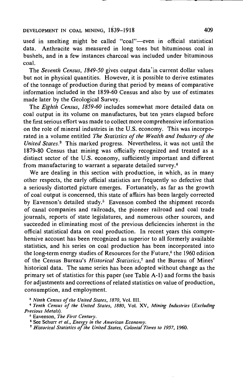used in smelting might be called "coal"—even in official statistical data. Anthracite was measured in long tons but bituminous coal in bushels, and in a few instances charcoal was included under bituminous coal.

The Seventh Census, 1849-50 gives output data in current dollar values but not in physical quantities. However, it is possible to derive estimates of the tonnage of production during that period by means of comparative information included in the 1859-60 Census and also by use of estimates made later by the Geological Survey.

The Eighth Census, 1859-60 includes somewhat more detailed data on coal output in its volume on manufactures, but ten years elapsed before the first serious effort was made to collect more comprehensive information on the role of mineral industries in the U.S. economy. This was incorporated in a volume entitled The Statistics of the Wealth and Industry of the United States.3 This marked progress. Nevertheless, it was not until the 1879-80 Census that mining was officially recognized and treated as a distinct sector of the U.S. economy, sufficiently important and different from manufacturing to warrant a separate detailed survey.4

We are dealing in this section with production, in which, as in many other respects, the early official statistics are frequently so defective that a seriously distorted picture emerges. Fortunately, as far as the growth of coal output is concerned, this state of affairs has been largely corrected by Eavenson's detailed study.<sup>5</sup> Eavenson combed the shipment records of canal companies and railroads, the pioneer railroad and coal trade journals, reports of state legislatures, and numerous other sources, and succeeded in eliminating most of the previous deficiencies inherent in the official statistical data on coal production. In recent years this comprehensive account has been recognized as superior to all formerly available statistics, and his series on coal production has been incorporated into the long-term energy studies of Resources for the Future, $6$  the 1960 edition of the Census Bureau's *Historical Statistics*,<sup>7</sup> and the Bureau of Mines' historical data. The same series has been adopted without change as the primary set of statistics for this paper (see Table A-1) and forms the basis for adjustments and corrections of related statistics on value of production, consumption, and employment. Storical data. The same series has been adopted without change as the<br>storical data. The same series has been adopted without change as the<br>imary set of statistics for this paper (see Table A-1) and forms the basis<br>or adju

Precious Metals).

<sup>7</sup> Historical Statistics of the United States, Colonial Times to 1957, 1960.

<sup>&</sup>lt;sup>5</sup> Eavenson, The First Century.

<sup>&</sup>lt;sup>6</sup> See Schurr et al., Energy in the American Economy.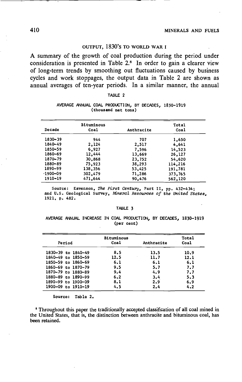# OUTPUT, 1830's TO WORLD WAR I

A summary of the growth of coal production during the period under consideration is presented in Table 2.8 In order to gain a clearer view of long-term trends by smoothing out fluctuations caused by business cycles and work stoppages, the output data in Table 2 are shown as annual averages of ten-year periods. In a similar manner, the annual

### TABLE 2

### AVERAGE ANNUAL COAL PRODUCTION, BY DECADES, 1830-1919 (thousand net tons)

| Decade       | Bituminous<br>Coal | Anthracite | Total<br>Coal |
|--------------|--------------------|------------|---------------|
| 1830-39      | 944                | 707        | 1,650         |
| 1840-49      | 2,124              | 2,517      | 4,641         |
| 1850-59      | 6.927              | 7,596      | 14,523        |
| 1860-69      | 12,444             | 13,669     | 26,127        |
| 1870-79      | 30,868             | 23,752     | 54.620        |
| 1880-89      | 75,923             | 38,293     | 114,216       |
| 1890-99      | 138,356            | 53,425     | 191,781       |
| $.1900 - 09$ | 302,479            | 71,286     | 373,765       |
| 1910-19      | 471,644            | 90.476     | 562,120       |

Source: Eavenson, The First Century, Part II, pp. 432—434; and U.S. Geological Survey, Mineral Resources of the United States, 1921. p. 482.

### TABLE 3

### AVERAGE ANNUAL INCREASE IN COAL PRODUCTION, BY DECADES, 1830—1919 (per cent)

| Period             | Bituminous<br>Coal | Anthracite | Total<br>Coal |
|--------------------|--------------------|------------|---------------|
| 1830-39 to 1840-49 | 8.5                | 13.5       | 10.9          |
| 1840-49 to 1850-59 | 12.5               | 11.7       | 12.1          |
| 1850-59 to 1860-69 | 6.1                | 6.1        | 6.1           |
| 1860-69 to 1870-79 | 9.5                | 5.7        | 7.7           |
| 1870-79 to 1880-89 | 9.4                | 4.9        | 7.7           |
| 1880-89 to 1890-99 | 6.2                | 3.4        | 5.3           |
| 1890-99 to 1900-09 | 8.1                | 2.9        | 6.9           |
| 1900-09 to 1910-19 | 4.5                | 2.4        | 4.2           |

Source: Table 2.

Throughout this paper the traditionally accepted classification of all coal mined in the United States, that is, the distinction between anthracite and bituminous coal, has been retained.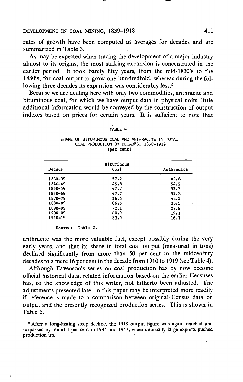rates of growth have been computed as averages for decades and are summarized in Table 3.

As may be expected when tracing the development of a major industry almost to its origins, the most striking expansion is concentrated in the earlier period. It took barely fifty years, from the mid-1830's to the 1880's, for coal output to grow one hundredfold, whereas during the following three decades its expansion was considerably less.<sup>9</sup>

Because we are dealing here with only two commodities, anthracite and bituminous coal, for which we have output data in physical units, little additional information would be conveyed by the construction of output indexes based on prices for certain years. It is sufficient to note that

### TABLE 4

SHARE OF BITUMINOUS COAL AND ANTHRACITE IN TOTAL COAL PRODUCTION BY DECADES, 1830-1919 (per cent)

|         | Bituminous |                |
|---------|------------|----------------|
| Decade  | Coal       | Anthracite     |
| 1830-39 | 57.2       | $\sim$<br>42.8 |
| 1840-49 | 45.8       | 54.2           |
| 1850-59 | 47.7       | 52.3           |
| 1860-69 | 47.7       | 52.3           |
| 1870-79 | 56.5       | 43.5           |
| 1880-89 | 66.5       | 33.5           |
| 1890-99 | 72.1       | 27.9           |
| 1900-09 | 80.9       | 19.1           |
| 1910-19 | 83.9       | 16.1           |

Source: Table 2.

anthracite was the more valuable fuel, except possibly during the very early years, and that its share in total coal output (measured in tons) declined significantly from more than 50 per cent in the midcentury decades to a mere 16 per cent in the decade from 1910 to 1919 (see Table 4).

Although Eavenson's series on coal production has by now become official historical data, related information based on the earlier Censuses has, to the knowledge of this writer, not hitherto been adjusted. The adjustments presented later in this paper may be interpreted more readily if reference is made to a comparison between original Census data on output and the presently recognized production series. This is shown in Table 5.

After a long-lasting steep decline, the 1918 output figure was again reached and surpassed by about 1 per cent in 1944 and 1947, when unusually large exports pushed production up.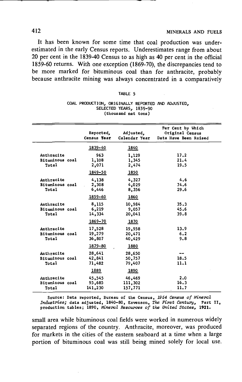It has been known for some time that coal production was underestimated in the early Census reports. Underestimates range from about 20 per cent in the 1839-40 Census to as high as 40 per cent in the official 1859-60 returns. With one exception (1869-70), the discrepancies tend to be more marked for bituminous coal than for anthracite, probably because anthracite mining was always concentrated in a comparatively

| TABLE 5                                          |  |
|--------------------------------------------------|--|
| I, ORIGINALLY REPORTEI<br>PAPPD, MPIAR, RRAA, A. |  |

| COAL PRODUCTION, ORIGINALLY REPORTED AND ADJUSTED, |                         |  |
|----------------------------------------------------|-------------------------|--|
|                                                    | SELECTED YEARS, 1839-90 |  |
|                                                    | (thousand net tons)     |  |

|                        | Reported.<br>Census Year | Adjusted,<br>Calendar Year | Per Cent by Which<br>Original Census<br>Data Have Been Raised |
|------------------------|--------------------------|----------------------------|---------------------------------------------------------------|
|                        | 1839-40                  | <u> 1840</u>               |                                                               |
| Anthracite             | 963                      | 1,129                      | 17.2                                                          |
| Bituminous coal        | 1,108                    | 1,345                      | 21.4                                                          |
| Total                  | 2,071                    | 2,474                      | 19.5                                                          |
|                        | 1849-50                  | 1850                       |                                                               |
| Anthracite             | 4,138                    | 4,327                      | 4.6                                                           |
| Bituminous coal        | 2,308                    | 4,029                      | 74.6                                                          |
| Total                  | 6,446                    | 8,356                      | 29.6                                                          |
|                        | 1859-60                  | <u> 1860</u>               |                                                               |
| Anthracite             | 8,115                    | 10,984                     | 35.3                                                          |
| Bituminous coal        | 6,219                    | 9,057                      | 45.6                                                          |
| Total                  | 14,334                   | 20,041                     | 39.8                                                          |
|                        | 1869-70                  | 1870                       |                                                               |
| Anthracite             | 17,528                   | 19,958                     | 13.9                                                          |
| <b>Rituminous</b> coal | 19,279                   | 20,471                     | 6.2                                                           |
| Total                  | 36,807                   | 40,429                     | 9.8                                                           |
|                        | 1879-80                  | 1880                       |                                                               |
| Anthracite             | 28,641                   | 28,650                     |                                                               |
| Bituminous coal        | 42,841                   | 50,757                     | 18.5                                                          |
| Total                  | 71,482                   | 79,407                     | 11.1                                                          |
|                        | 1889                     | 1890                       |                                                               |
| Anthracite             | 45.545                   | 46,469                     | 2.0                                                           |
| Bituminous coal        | 95,685                   | 111,302                    | 16.3                                                          |
| Total                  | 141,230                  | 157,771                    | 11.7                                                          |

Source: Data reported, Bureau of the Census, 1954 Census of Mineral Industries; data adjusted, 1840—80, Eavenson, The First Century, Part II, production tables; 1890, Mineral Resources of the United States, 1**921.** 

small area while bituminous coal fields were worked in numerous widely separated regions of the country. Anthracite, moreover, was produced for markets in the cities of the eastern seaboard at a time when a large portion of bituminous coal was still being mined solely for local use.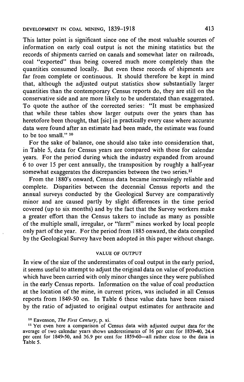This latter point is significant since one of the most valuable sources of information on early coal output is not the mining statistics but the records of shipments carried on canals and somewhat later on railroads, coal "exported" thus being covered much more completely than the quantities consumed locally. But even these records of shipments are far from complete or continuous. It should therefore be kept in mind that, although the adjusted output statistics show substantially larger quantities than the contemporary Census reports do, they are still on the conservative side and are more likely to be understated than exaggerated. To quote the author of the corrected series: "It must be emphasized that while these tables show larger outputs over the years than has heretofore been thought, that [sic] in practically every case where accurate data were found after an estimate had been made, the estimate was found to be too small." 10

For the sake of balance, one should also take into consideration that, in Table 5, data for Census years are compared with those for calendar years. For the period during which the industry expanded from around 6 to over 15 per cent annually, the transposition by roughly a half-year somewhat exaggerates the discrepancies between the two series.<sup>11</sup>

From the 1880's onward, Census data became increasingly reliable and complete. Disparities between the decennial Census reports and the annual surveys conducted by the Geological Survey are comparatively minor and are caused partly by slight differences in the time period covered (up to six months) and by the fact that the Survey workers make a greater effort than the Census takers to include as many as possible of the multiple small, irregular, or "farm" mines worked by local people only part of the year. For the period from 1885 onward, the data compiled by the Geological Survey have been adopted in this paper without change.

# VALUE OF OUTPUT

In view of the size of the underestimates of coal output in the early period, it seems useful to attempt to adjust the original data on value of production which have been carried with only minor changes since they were published in the early Census reports. Information on the value of coal production at the location of the mine, in current prices, was included in all Census reports from 1849-50 on. In Table 6 these value data have been raised by the ratio of adjusted to original output estimates for anthracite and

<sup>&</sup>lt;sup>10</sup> Eavenson, The First Century, p. xi.

<sup>&</sup>lt;sup>11</sup> Yet even here a comparison of Census data with adjusted output data for the average of two calendar years shows underestimates of 16 per cent for 1839-40, 24.4 per cent for 1849-50, and 36.9 per cent for 1859-60-all rather close to the data in Table 5.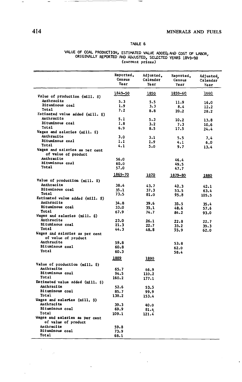### TABLE 6

**Service** 

|                                                       | Reported,<br>Census<br>Year | Adjusted,<br>Calendar<br>Year | Reported,<br>Census<br>Year | Adjusted,<br>Calendar<br>Year |
|-------------------------------------------------------|-----------------------------|-------------------------------|-----------------------------|-------------------------------|
|                                                       | 1849-50                     | 1850                          | 1859-60                     | 1860                          |
| Value of production (mill. \$)                        |                             |                               |                             |                               |
| Anthracite                                            | 5.3                         | 5.5                           | 11.9                        | 16.0                          |
| Bituminous coal                                       | 1.9                         | 3.3                           | 8.4                         | 12.2                          |
| Total                                                 | 7.2                         | 8.8                           | 20.2                        | 28.2                          |
| Estimated value added (mill. \$)                      |                             |                               |                             |                               |
| Anthracite                                            | 5.1                         | 5.3                           | 10.2                        | 13.8                          |
| Bituminous coal                                       | 1.8                         | 3.2                           | 7.3                         | 10.6                          |
| Total                                                 | 6.9                         | 8.5                           | 17.5                        | 24.4                          |
| Wages and salaries (mill. \$)                         |                             |                               |                             |                               |
| Anthracite                                            | 3.0                         | 3.1                           | 5.5                         | 7,4                           |
| Bituminous coal                                       | 1.1                         | 1.9                           | 4.1                         | 6,0                           |
| Total                                                 | 4.1                         | 5.0                           | 9.7                         | 13.4                          |
| Wages and salaries as per cent<br>of value of product |                             |                               |                             |                               |
| Anthracite                                            | 56.0                        |                               | 46.4                        |                               |
| Bituminous coal                                       | 60.0                        |                               | 49.5                        |                               |
| Total                                                 | 57.0                        |                               | 47.7                        |                               |
|                                                       | 1869-70                     | <u>1870</u>                   | 1879-80                     | 1880                          |
| Value of production (mill. \$)                        |                             |                               |                             |                               |
| Anthracite                                            | 38.4                        | 43.7                          | 42.3                        |                               |
| Bituminous coal                                       | 35.1                        | 37.3                          |                             | 42.1                          |
| Total                                                 | 73.5                        | 81.0                          | 53.5<br>95.8                | 63.4                          |
| Estimated value added (mill. \$)                      |                             |                               |                             | 105.5                         |
| Anthracite                                            | 34.8                        | 39.6                          |                             |                               |
| Bituminous coal                                       | 33.0                        |                               | 35.5                        | 35.4                          |
| Total                                                 | 67.9                        | 35.1                          | 48.6                        | 57.6                          |
| Wages and salaries (mill. \$)                         |                             | 74.7                          | 84.2                        | 93.0                          |
| Anthracite                                            | 23.0                        | 26.1                          |                             |                               |
| Bituminous coal                                       | 21.3                        | 22.7                          | 22.8                        | 22.7                          |
| Toral                                                 | 44.3                        | 48.8                          | 33.2                        | 39.3                          |
| Wages and salaries as per cent<br>of value of product |                             |                               | 55.9                        | 62.0                          |
| Anthracite                                            | 59.8                        |                               | 53.8                        |                               |
| Bituminous coal                                       | 60.8                        |                               | 62.0                        |                               |
| Total                                                 | 60.3                        |                               | 58.4                        |                               |
|                                                       |                             |                               |                             |                               |
|                                                       | 1889                        | 1890                          |                             |                               |
| Value of production (mill. \$)                        |                             |                               |                             |                               |
| Anthracite                                            | 65.7                        | 66.9                          |                             |                               |
| Bituminous coal                                       | 94.5                        | 110.2                         |                             |                               |
| Total                                                 | 160.2                       | 177.1                         |                             |                               |
| Estimated value added (mill. \$)                      |                             |                               |                             |                               |
| Anthracite                                            | 52.6                        | 53.5                          |                             |                               |
| Bituminous coal                                       | 85.7                        | 99.9                          |                             |                               |
| Total                                                 | 138.2                       | 153.4                         |                             |                               |
| Wages and salaries (mill. \$)                         |                             |                               |                             |                               |
| Anthracite                                            | 39.3                        | 40.0                          |                             |                               |
| Bituminous coal                                       | 69.9                        | 81.4                          |                             |                               |
| Total                                                 | 109.1                       | 121.4                         |                             |                               |
| Wages and salaries as per cent<br>of value of product |                             |                               |                             |                               |
| Anthracite                                            | 59.8                        |                               |                             |                               |
| Bituminous coal                                       | 73.9                        |                               |                             |                               |
| Toral                                                 | 68.1                        |                               |                             |                               |

 $\mathbf{z}$  .  $\bar{\mathcal{A}}$ 

# VALUE OF COAL PRODUCTION, ESTIMATED VALUE ADDED, AND COST OF LABOR, ORIGINALLY REPORTED AND ADJUSTED, SELECTED YEARS 1849-90 (current prices)

 $\label{eq:2} \frac{d\mathbf{r}}{d\mathbf{r}} = \frac{1}{2\pi\epsilon_0^2} \mathbf{r}$ 

 $\ddot{\phantom{0}}$ 

 $\overline{\phantom{0}}$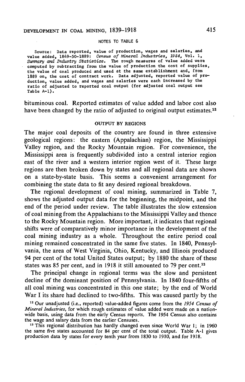### NOTES TO TABLE 6

Source: Data reported, value of production, wages and salaries, and<br>value added, 1849-50-1889: *Census of Mineral Industries, 1954,* Vol. 1,<br>Summary and Industry Statistics. The rough measures of value added were<br>computed the value of coal produced and used at the same establishment and, from 1889 on, the cost of contract work. Data adjusted, reported value of production, value added, and wages and salaries were each increased by the ratio of adjusted to reported coal output (for adjusted coal output see Table A-1).

bituminous coal. Reported estimates of value added and labor cost also have been changed by the ratio of adjusted to original output estimates.<sup>12</sup>

### OUTPUT BY REGIONS

The major coal deposits of the country are found in three extensive geological regions: the eastern (Appalachian) region, the Mississippi Valley region, and the Rocky Mountain region. For convenience, the Mississippi area is frequently subdivided into a central interior region east of the river and a western interior region west of it. These large regions are then broken down by states and all regional data are shown The major coal deposits of the country are found in three extensive<br>geological regions: the eastern (Appalachian) region, the Mississippi<br>Valley region, and the Rocky Mountain region. For convenience, the<br>Mississippi area combining the state data to fit any desired regional breakdown.

The regional development of coal mining, summarized in Table 7, shows the adjusted output data for the beginning, the midpoint, and the end of the period under review. The table illustrates the slow extension of coal mining from the Appalachians to the Mississippi Valley and thence to the Rocky Mountain region. More important, it indicates that regional shifts were of comparatively minor importance in the development of the coal mining industry as a whole. Throughout the entire period coal mining remained concentrated in the same five states. In 1840, Pennsylvania, the area of West Virginia, Ohio, Kentucky, and Illinois produced 94 per cent of the total United States output; by 1880 the share of these states was 85 per cent, and in 1918 it still amounted to 79 per cent.<sup>13</sup>

The principal change in regional terms was the slow and persistent decline of the dominant position of Pennsylvania. In 1840 four-fifths of all coal mining was concentrated in this one state; by the end of World War I its share had declined to two-fifths. This was caused partly by the

<sup>12</sup> Our unadjusted (i.e., reported) value-added figures come from the 1954 Census of Mineral Industries, for which rough estimates of value added were made on a nationwide basis, using data from the early Census reports. The 1954 Census also contains the wage and salary data from the earlier Censuses.

<sup>13</sup> This regional distribution has hardly changed even since World War I; in 1960 the same five states accounted for 84 per cent of the total output. Table A-1 gives production data by states for every tenth year from 1830 to 1910, and for 1918.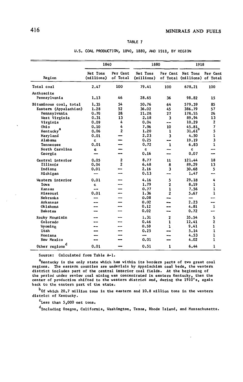### TABLE <sup>7</sup>

|                            | 1840                   |                      | 1880                   |                | 1918                                     |              |
|----------------------------|------------------------|----------------------|------------------------|----------------|------------------------------------------|--------------|
| Region                     | Net Tons<br>(millions) | Per Cent<br>of Total | Net Tons<br>(millions) | Per Cent       | Net Tons<br>of Total (millions) of Total | Per Cent     |
| Total coal                 | 2.47                   | 100                  | 79.41                  | 100            | 678.21                                   | 100          |
| Anthracite                 |                        |                      |                        |                |                                          |              |
| Pennsylvania               | 1.13                   | 46                   | 28.65                  | 36             | 98.82                                    | 15           |
| Bituminous coal, total     | 1,35                   | 54                   | 50.76                  | 64             | 579.39                                   | 85           |
| Eastern (Appalachian)      | 1.28                   | 52                   | 36.02                  | 45             | 386.79                                   | 57           |
| Pennsylvania               | 0.70                   | 28                   | 21.28                  | 27             | 178.55                                   | 26           |
| West Virginia              | 0.31                   | 13                   | $-2.18$                | 3              | 89.94                                    | 13           |
| Virginia                   | 0.09                   | 4                    | 0.04                   | --             | 10.29                                    | 2            |
| Ohio                       | 0.10                   | 4                    | 7.96                   | 10             | 45.81 <sub>b</sub>                       | 7            |
| Kentucky                   | 0.06                   | 2                    | 1.20                   | 1              | 31.61'                                   | 5            |
| Maryland                   | 0,01                   |                      | 2.23                   | 3              | 4.50                                     | ı            |
| Alabama                    | c                      |                      | 0.25                   | --             | 19.19                                    | 3            |
| Tennessee                  | 0.01                   |                      | 0.72                   | $\mathbf{1}$   | 6,83                                     | ı            |
| North Carolina             | c                      |                      | $\mathbf c$            |                | c                                        |              |
| Georgia                    |                        |                      | 0.16                   | --             | 0.07                                     |              |
| Central interior           | 0.05                   | 2                    | 8.77                   | 11             | 121.44                                   | 18           |
| Illinois                   | 0.04                   | $\overline{2}$       | 6.48                   | 8              | 89.29                                    | 13           |
| Indiana                    | 0.01                   |                      | 2.16                   | 3              | 30.68                                    | 5            |
| Michigan                   | --                     |                      | 0.13                   | --             | 1.47                                     | --           |
| Western interior           | 0.01                   |                      | 4.16                   | 5              | 29.18                                    | 4            |
| Ioua                       | c                      |                      | 1.79                   | 2              | 8,19                                     | ı            |
| Kansas                     | --                     |                      | 0.77                   | ı              | 7.56                                     | ı            |
| Missouri                   | 0.01                   |                      | 1.36                   | $\overline{2}$ | 5.67                                     | ı            |
| Nebraska                   |                        |                      | 0.08                   |                |                                          |              |
| Arkansas                   |                        |                      | 0.02                   |                | 2.23                                     | --           |
| Oklahoma                   |                        |                      | 0.12                   |                | 4.81                                     | 1            |
| Dakotas                    |                        |                      | 0.02                   |                | 0.72                                     | --           |
| Rocky Mountain             |                        |                      | 1.31                   | 2              | 35.54                                    | 5            |
| Colorado                   |                        |                      | 0.46                   | ı              | 12,41                                    | 2            |
| Wyoming                    |                        |                      | 0.59                   | 1              | 9,41                                     | $\mathbf{1}$ |
| Utah                       |                        |                      | 0.25                   |                | 5.14                                     | ı            |
| Montana                    |                        |                      |                        |                | 4.53                                     | $\mathbf{1}$ |
| New Mexico                 | --                     |                      | 0.01                   |                | 4,02                                     | $\mathbf{1}$ |
| Other regions <sup>d</sup> | 0.01                   |                      | 0.51                   | $\mathbf{1}$   | 6.44                                     | ı            |

U.S. COAL PRODUCTION, 1840, 1880, AND 1918, BY REGION

Source: Calculated from Table A—i.

a<sub>Kentucky</sub> is the only state which has within its borders parts of two great coal regions. The eastern counties are underlain by Appalachian coal beds, the western district includes part of the central interior coal fields. At the beginning of the period under review coal mining was concentrated in eastern Kentucky, then the center of production shifted to the western district and, during the 1910's, again back to the eastern part of the state.

bof which 20.7 million tons in the eastern and 10.8 million tons in the western district of Kentucky.

C<sub>Less</sub> than 5,000 net tons.

dIncluding Oregon, California, Washington, Texas, Rhode Island, and Massachusetts.

 $\ddot{\phantom{0}}$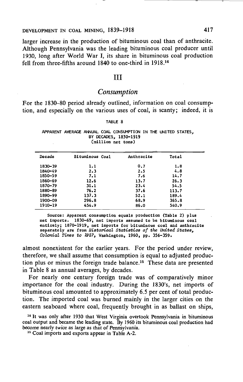larger increase in the production of bituminous coal than of anthracite. Although Pennsylvania was the leading bituminous coal producer until 1930, long after World War I, its share in bituminous coal production fell from three-fifths around 1840 to one-third in

# III

# Consumption

For the 1830—80 period already outlined, information on coal consumption, and especially on the various uses of coal, is scanty; indeed, it is

### TABLE 8

# BY DECADES, 1830—1919 (million net tons)

| APPARENT AVERAGE ANNUAL COAL CONSUMPTION IN THE UNITED STATES.<br>BY DECADES, 1830-1919<br>(million net tons) |                 |            |       |  |  |
|---------------------------------------------------------------------------------------------------------------|-----------------|------------|-------|--|--|
| Decade                                                                                                        | Bituminous Coal | Anthracite | Total |  |  |
| 1830-39                                                                                                       | 1.1             | 0.7        | 1.8   |  |  |
| 1840-49                                                                                                       | 2.3             | 2.5        | 4.8   |  |  |
| 1850-59                                                                                                       | 7.1             | 7.6        | 14.7  |  |  |
| 1860-69                                                                                                       | 12.6            | 13.7       | 26.3  |  |  |
| 1870-79                                                                                                       | 31.1            | 23.4       | 54.5  |  |  |
| 1880-89                                                                                                       | 76.2            | 37.6       | 113.7 |  |  |
| 1890-99                                                                                                       | 137.3           | 52.1       | 189.4 |  |  |
| 1900-09                                                                                                       | 296.8           | 68.9       | 365.8 |  |  |
| 1910-19                                                                                                       | 454.9           | 86.0       | 540.9 |  |  |

Source: Apparent consumption equals production (Table 2) plus net imports. 1830—69, net imports assumed to be bituminous coal entirely; 1870—1919, net imports for bituminous coal and anthracite separately are from Historical Statistics of the United States, Colonial Times to 1957, Washington, 1960, pp. 356—359.

almost nonexistent for the earlier years. For the period under review, therefore, we shall assume that consumption is equal to adjusted production plus or minus the foreign trade balance.15 These data are presented in Table 8 as annual averages, by decades.

For nearly one century foreign trade was of comparatively minor importance for the coal industry. During the 1830's, net imports of bituminous coal amounted to approximately 6.5 per cent of total production. The imported coal was burned mainly in the larger cities on the eastern seaboard where coal, frequently brought in as ballast on ships,

<sup>14</sup> It was only after 1930 that West Virginia overtook Pennsylvania in bituminous coal output and became the leading state. By 1960 its bituminous coal production had become nearly twice as large as that of Pennsylvania.

<sup>15</sup> Coal imports and exports appear in Table A-2.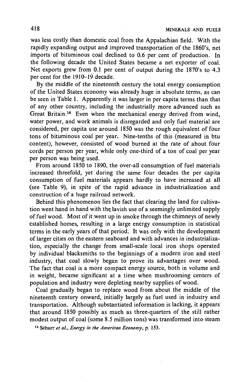was less costly than domestic coal from the Appalachian field. With the rapidly expanding output and improved transportation of the 1860's, net imports of bituminous coal declined to 0.6 per cent of production. In the following decade the United States became a net exporter of coal. Net exports grew from 0.1 per cent of output during the 1870's to 4.3 per cent for the 1910—19 decade.

By the middle of the nineteenth century the total energy consumption of the United States economy was already huge in absolute terms, as can be seen in Table 1. Apparently it was larger in per capita terms than that of any other country, including the industrially more advanced such as Great Britain.<sup>16</sup> Even when the mechanical energy derived from wind, water power, and work animals is disregarded and only fuel material are considered, per capita use around 1850 was the rough equivalent of four tons of bituminous coal per year. Nine-tenths of this (measured in btu content), however, consisted of wood burned at the rate of about four cords per person per year, while only one-third of a ton of coal per year per person was being used.

From around 1850 to 1890, the over-all consumption of fuel materials increased threefold, yet during the same four decades the per capita consumption of fuel materials appears hardly to have increased at all (see Table 9), in spite of the rapid advance in industrialization and construction of a huge railroad network.

Behind this phenomenon lies the fact that clearing the land for cultivation went hand in hand with the lavish use of a seemingly unlimited supply of fuel wood. Most of it went up in smoke through the chimneys of newly established homes, resulting in a large energy consumption in statistical terms in the early years of that period. It was only with the development of larger cities on the eastern seaboard and with advances in industrialization, especially the change from small-scale local iron shops operated by individual blacksmiths to the beginnings of a modern iron and steel industry, that coal slowly began to prove its advantages over wood. The fact that coal is a more compact energy source, both in volume and in weight, became significant at a time when mushrooming centers of population and industry were depleting nearby supplies of wood.

Coal gradually began to replace wood from about the middle of the nineteenth century onward, initially largely as fuel used in industry and transportation. Although substantiated information is lacking, it appears that around 1850 possibly as much as three-quarters of the still rather modest output of coal (some 8.5 million tons) was transformed into steam

<sup>16</sup> Schurr et al., Energy in the American Economy, p. 153.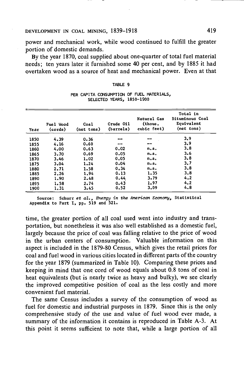power and mechanical work, while wood continued to fulfill the greater portion of domestic demands.

By the year 1870, coal supplied about one-quarter of total fuel material needs; ten years later it furnished some 40 per cent, and by 1885 it had overtaken wood as a source of heat and mechanical power. Even at that

### TABLE 9

PER CAPITA CONSUMPTION OF FUEL MATERIALS, SELECTED YEARS, 1850—1900

| Year | Fuel Wood<br>(cords) | Coal<br>(net tons) | Crude 011<br>(barrels) | Natural Gas<br>(thous.<br>cubic feet) | Total in<br><b>Bituminous Coal</b><br>Equivalent<br>(net tons) |
|------|----------------------|--------------------|------------------------|---------------------------------------|----------------------------------------------------------------|
| 1850 | 4.39                 | 0.36               | --                     |                                       | 3.9                                                            |
| 1855 | 4.16                 | 0.60               | --                     | --                                    | 3.9                                                            |
| 1860 | 4.00                 | 0.63               | 0.02                   | n.a.                                  | 3,8                                                            |
| 1865 | 3.70                 | 0.69               | 0.05                   | n.a.                                  | 3.6                                                            |
| 1870 | 3.46                 | 1.02               | 0.05                   | n.a.                                  | 3.8                                                            |
| 1875 | 3.04                 | 1.24               | 0.04                   | n.a.                                  | 3.7                                                            |
| 1880 | 2.71                 | 1.58               | 0.34                   | n.a.                                  | 3.8                                                            |
| 1885 | 2.26                 | 1,94               | 0.13                   | 1.35                                  | 3.8                                                            |
| 1890 | 1.90                 | 2.48               | 0.44                   | 3.79                                  | 4.2                                                            |
| 1895 | 1.58                 | 2.74               | 0.43                   | 1.97                                  | 4.2                                                            |
| 1900 | 1.31                 | 3.45               | 0.52                   | 3.09                                  | 4.8                                                            |

Source: Schurr et al., Energy in the American Economy, Statistical Appendix to Part I, pp. 519 and 521.

time, the greater portion of all coal used went into industry and transportation, but nonetheless it was also well established as a domestic fuel, largely because the price of coal was falling relative to the price of wood in the urban centers of consumption. Valuable information on this aspect is included in the 1879-80 Census, which gives the retail prices for coal and fuel wood in various cities located in different parts of the country for the year 1879 (summarized in Table 10). Comparing these prices and keeping in mind that one cord of wood equals about 0.8 tons of coal in heat equivalents (but is nearly twice as heavy and bulky), we see clearly the improved competitive position of coal as the less costly and more convenient fuel material.

The same Census includes a survey of the consumption of wood as fuel for domestic and industrial purposes in 1879. Since this is the only comprehensive study of the use and value of fuel wood ever made, a summary of the information it contains is reproduced in Table A-3. At this point it seems sufficient to note that, while a large portion of all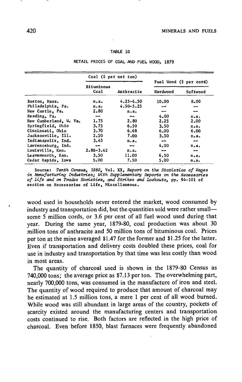### TABLE 10

|                        | Coal (\$ per net ton)        |               |                         |          |
|------------------------|------------------------------|---------------|-------------------------|----------|
|                        | Bituminous                   |               | Fuel Wood (\$ per cord) |          |
|                        | Coal                         | Anthracite    | Hardwood                | Softwood |
| Boston, Mass.          | n.a.                         | $4.25 - 6.50$ | 10.00                   | 8.00     |
| Philadelphia, Pa.      | n.a.                         | $4.50 - 5.25$ | --                      |          |
| New Castle, Pa.        | 2.80                         | n.a.          | --                      | --       |
| Reading, Pa.           | $\qquad \qquad \text{---}$   | --            | 4.00                    | n,a.     |
| New Cumberland, W. Va. | 1.75                         | 2.80          | 2.25                    | 2.00     |
| Springfield, Ohio      | 3.75                         | 6.50          | 3.50                    | n.a.     |
| Cincinnati, Ohio       | 3.70                         | 6.68          | 6.00                    | 6.00     |
| Jacksonville, Ill.     | 2.50                         | 7.00          | 3.50                    | n.a.     |
| Indianapolis, Ind.     | 3.45                         | n.a.          | --                      | --       |
| Lawrenceburg, Ind.     | $\qquad \qquad \blacksquare$ | --            | 4.00                    | n.a.     |
| Louisville, Ken.       | $2.86 - 3.42$                | n.a.          | --                      | --       |
| Leavenworth, Kan.      | 3.50                         | 11.00         | 6.50                    | n.a.     |
| Cedar Rapids, Iowa     | 5.00                         | 7.50          | 5.00                    | n.a.     |

RETAIL PRICES OF COAL AND FUEL WOOD, 1879

Source: Tenth Census, 1880, Vol. XX, Report on the Statistics of Wages<br>in Manufacturing Industries; With Supplementary Reports on the Necessaries of Life and on Trades Societies, and Strikes and Lookouts, pp. 94-101 of section on Necessaries of Life, Miscellaneous.

wood used in households never entered the market, wood consumed by industry and transportation did, but the quantities sold were rather small some 5 million cords, or 3.6 per cent of all fuel wood used during that year. During the same year, 1879-80, coal production was about 30 million tons of anthracite and 50 million tons of bituminous coal. Prices per ton at the mine averaged \$1.47 for the former and \$1.25 for the latter. Even if transportation and delivery costs doubled these prices, coal for use in industry and transportation by that time was less costly than wood in most areas.

The quantity of charcoal used is shown in the 1879-80 Census as 740,000 tons; the average price as \$7.13 per ton. The overwhelming part, nearly 700,000 tons, was consumed in the manufacture of iron and steel. The quantity of wood required to produce that amount of charcoal may be estimated at 1.5 million tons, a mere 1 per cent of all wood burned. While wood was still abundant in large areas of the country, pockets of scarcity existed around the manufacturing centers and transportation costs continued to rise. Both factors are reflected in the high price of charcoal. Even before 1850, blast furnaces were frequently abandoned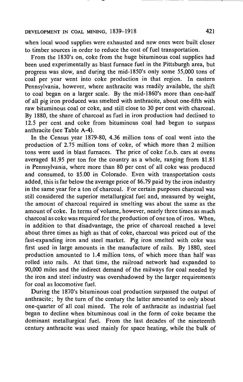when local wood supplies were exhausted and new ones were built closer to timber sources in order to reduce the cost of fuel transportation.

From the 1830's on, coke from the huge bituminous coal supplies had been used experimentally as blast furnace fuel in the Pittsburgh area, but progress was slow, and during the mid-1850's only some 55,000 tons of coal per year went into coke production in that region. In eastern Pennsylvania, however, where anthracite was readily available, the shift to coal began on a larger scale. By the mid-1860's more than one-half of all pig iron produced was smelted with anthracite, about one-fifth with raw bituminous coal or coke, and still close to 30 per cent with charcoal. By 1880, the share of charcoal as fuel in iron production had declined to 12.5 per cent and coke from bituminous coal had begun to surpass anthracite (see Table A-4).

In the Census year 1879-80, 4.36 million tons of coal went into the production of 2.75 million tons of coke, of which more than 2 million tons were used in blast furnaces. The price of coke f.o.b. cars at ovens averaged \$1.95 per ton for the country as a whole, ranging from \$1.81 in Pennsylvania, where more than 80 per cent of all coke was produced and consumed, to \$5.00 in Colorado. Even with transportation costs added, this is far below the average price of \$6.79 paid by the iron industry in the same year for a ton of charcoal. For certain purposes charcoal was still considered the superior metallurgical fuel and, measured by weight, the amount of charcoal required in smelting was about the same as the amount of coke. In terms of volume, however, nearly three times as much charcoal as coke was required for the production of one ton of iron. When, in addition to that disadvantage, the price of charcoal reached a level about three times as high as that of coke, charcoal was priced out of the fast-expanding iron and steel market. Pig iron smelted with coke was first used in large amounts in the manufacture of rails. By 1880, steel production amounted to 1.4 million tons, of which more than half was rolled into rails. At that time, the railroad network had expanded to 90,000 miles and the indirect demand of the railways for coal needed by the iron and steel industry was overshadowed by the larger requirements for coal as locomotive fuel.

During the 1870's bituminous coal production surpassed the output of anthracite; by the turn of the century the latter amounted to only about one-quarter of all coal mined. The role of anthracite as industrial fuel began to decline when bituminous coal in the form of coke became the dominant metallurgical fuel. From the last decades of the nineteenth century anthracite was used mainly for space heating, while the bulk of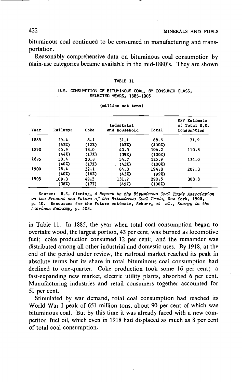# 422 MINERALS AND FUELS

bituminous coal continued to be consumed in manufacturing and transportation.

Reasonably comprehensive data on bituminous coal consumption by main-use categories became available in the mid-l880's. They are shown

### TABLE 11

### U.S. CONSUMPTION OF BITUMINOUS COAL, BY CONSUMER CLASS, SELECTED YEARS, 1885—1905

| Year | Railways | Coke  | Industrial<br>and Household | Total  | RFF Estimate<br>of Total U.S.<br>Consumption |
|------|----------|-------|-----------------------------|--------|----------------------------------------------|
| 1885 | 29.4     | 8.1   | 31.1                        | 68.6   | 71.9                                         |
|      | (432)    | (12%) | (45%)                       | (100%) |                                              |
| 1890 | 45.9     | 18.0  | 40.3                        | 104.2  | 110.8                                        |
|      | (442)    | (17%) | (392)                       | (100%) |                                              |
| 1895 | 50.4     | 20.8  | 54.7                        | 125.9  | 134.0                                        |
|      | (40%)    | (172) | (43%)                       | (100%) |                                              |
| 1900 | 78.4     | 32.1  | 84.3                        | 194.8  | 207.3                                        |
|      | (402)    | (16%) | (432)                       | (99%)  |                                              |
| 1905 | 109.3    | 49.5  | 131.7                       | 290.5  | 308.8                                        |
|      | (38%)    | (172) | (45%)                       | (100%) |                                              |

(million net tons)

Source: H.S. Fleming, A Report to the Bituminous Coal Trade Association on the Present and Future of the Bituminous Coal Trade, New York, 1908, p. 10. Resources for the Future estimate, Schurr, et al., Energy in the American Economy, p. 508.

in Table 11. In 1885, the year when total coal consumption began to overtake wood, the largest portion, 43 per cent, was burned as locomotive fuel; coke production consumed 12 per cent; and the remainder was distributed among all other industrial and domestic uses. By 1918, at the end of the period under review, the railroad market reached its peak in absolute terms but its share in total bituminous coal consumption had declined to one-quarter. Coke production took some 16 per cent; a fast-expanding new market, electric utility plants, absorbed 6 per cent. Manufacturing industries and retail consumers together accounted for 51 per cent.

Stimulated by war demand, total coal consumption had reached its World War I peak of 651 million tons, about 90 per cent of which was bituminous coal. But by this time it was already faced with a new competitor, fuel oil, which even in 1918 had displaced as much as 8 per cent of total coal consumption.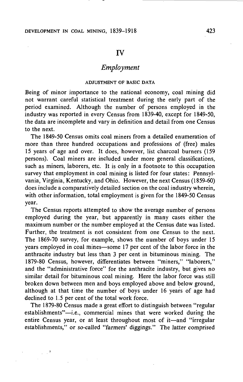# Iv

# Employment

### ADJUSTMENT OF BASIC DATA

Being of minor importance to the national economy, coal mining did not warrant careful statistical treatment during the early part of the period examined. Although the number of persons employed in the industry was reported in every Census from 1839-40, except for 1849-50, the data are incomplete and vary in definition and detail from one Census to the next.

The 1849-50 Census omits coal miners from a detailed enumeration of more than three hundred occupations and professions of (free) males 15 years of age and over. It does, however, list charcoal burners (159 persons). Coal miners are included under more general classifications, such as miners, laborers, etc. It is only in a footnote to this occupation survey that employment in coal mining is listed for four states: Pennsylvania, Virginia, Kentucky, and Ohio. However, the next Census (1859-60) does include a comparatively detailed section on the coal industry wherein, with other information, total employment is given for the 1849-50 Census year.

The Census reports attempted to show the average number of persons employed during the year, but apparently in many cases either the maximum number or the number employed at the Census date was listed. Further, the treatment is not consistent from one Census to the next. The 1869-70 survey, for example, shows the number of boys under 15 years employed in coal mines—some 17 per cent of the labor force in the anthracite industry but less than 3 per cent in bituminous mining. The 1879-80 Census, however, differentiates between "miners," "laborers," and the "administrative force" for the anthracite industry, but gives no similar detail for bituminous coal mining. Here the labor force was still broken down between men and boys employed above and below ground, although at that time the number of boys under 16 years of age had declined to 1.5 per cent of the total work force.

The 1879-80 Census made a great effort to distinguish between "regular establishments"—i.e., commercial mines that were worked during the entire Census year, or at least throughout most of it—and "irregular establishments," or so-called "farmers' diggings." The latter comprised

 $\sim 10^{-10}$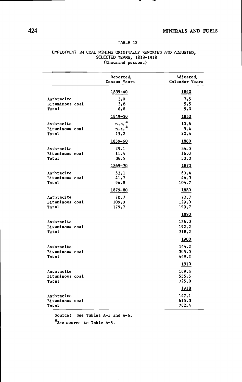|                 | Reported,<br>Census Years | Adjusted,<br>Calendar Years |
|-----------------|---------------------------|-----------------------------|
|                 | 1839-40                   | 1840                        |
| Anthracite      | 3.0                       | 3.5                         |
| Bituminous coal | 3,8                       | 5.5                         |
| Total           | 6.8                       | 9.0                         |
|                 | 1849-50                   | 1850                        |
| Anthracite      | a<br>n.a.                 | 10.6                        |
| Bituminous coal | a<br>n.a.                 | 9.4                         |
| Total           | 15.2                      | 20.4                        |
|                 | 1859-60                   | 1860                        |
| Anthracite      | 25.1                      | 34.0                        |
| Bituminous coal | 11.4                      | 16.0                        |
| Total           | 36.5                      | 50.0                        |
|                 | 1869-70                   | 1870                        |
| Anthracite      | 53.1                      | 60.4                        |
| Bituminous coal | 41.7                      | 44.3                        |
| Total           | 94.8                      | 104.7                       |
|                 | 1879-80                   | 1880                        |
| Anthracite      | 70.7                      | 70.7                        |
| Bituminous coal | 109.0                     | 129.0                       |
| Total           | 179.7                     | 199.7                       |
|                 |                           | 1890                        |
| Anthracite      |                           | 126.0                       |
| Bituminous coal |                           | 192.2                       |
| Total           |                           | 318.2                       |
|                 |                           | 1900                        |
| Anthracite      |                           | 144.2                       |
| Bituminous coal |                           | 305.0                       |
| Total           |                           | 449.2                       |
|                 |                           | 1910                        |
| Anthracite      |                           | 169.5                       |
| Bituminous coal |                           | 555.5                       |
| Total           |                           | 725.0                       |
|                 |                           | 1918                        |
| Anthracite      |                           | 147.1                       |
| Bituminous coal |                           | 615.3                       |
| Total           |                           | 762.4                       |

### EMPLOYMENT IN COAL MINING ORIGINALLY REPORTED AND ADJUSTED, SELECTED YEARS, 1839—1918 (thousand persons)

TABLE 12

Source: See Tables A—S and A—6.  $a$ See source to Table A-5.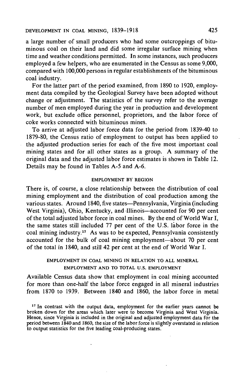a large number of small producers who had some outcroppings of bituminous coal on their land and did some irregular surface mining when time and weather conditions permitted. In some instances, such producers employed a few helpers, who are enumerated in the Census as some 9,000, compared with 100,000 persons in regular establishments of the bituminous coal industry.

For the latter part of the period examined, from 1890 to 1920, employment data compiled by the Geological Survey have been adopted without change or adjustment. The statistics of the survey refer to the average number of men employed during the year in production and development work, but exclude office personnel, proprietors, and the labor force of coke works connected with bituminous mines.

To arrive at adjusted labor force data for the period from 1839-40 to 1879-80, the Census ratio of employment to output has been applied to the adjusted production series for each of the five most important coal mining states and for all other states as a group. A summary of the original data and the adjusted labor force estimates is shown in Table 12. Details may be found in Tables A-5 and A-6.

### EMPLOYMENT BY REGION

There is, of course, a close relationship between the distribution of coal mining employment and the distribution of coal production among the various states. Around 1840, five states—Pennsylvania, Virginia (including West Virginia), Ohio, Kentucky, and Illinois—accounted for 90 per cent of the total adjusted labor force in coal mines. By the end of World War I, the same states still included 77 per cent of the U.S. labor force in the coal mining industry.17 As was to be expected, Pennsylvania consistently accounted for the bulk of coal mining employment—about 70 per cent of the total in 1840, and still 42 per cent at the end of World War I.

# EMPLOYMENT IN COAL MINING IN RELATION TO ALL MINERAL EMPLOYMENT AND TO TOTAL U.S. EMPLOYMENT

Available Census data show that employment in coal mining accounted for more than one-half the labor force engaged in all mineral industries from 1870 to 1939. Between 1840 and 1860, the labor force in metal

<sup>&</sup>lt;sup>17</sup> In contrast with the output data, employment for the earlier years cannot be broken down for the areas which later were to become Virginia and West Virginia. Hence, since Virginia is included in the original and adjusted employment data for the period between 1840 and 1860, the size of the labor force is slightly overstated in relation to output statistics for the five leading coal-producing states.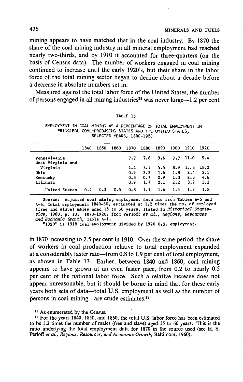# 426 MINERALS AND FUELS

mining appears to have matched that in the coal industry. By 1870 the share of the coal mining industry in all mineral employment had reached nearly two-thirds, and by 1910 it accounted for three-quarters (on the basis of Census data). The number of workers engaged in coal mining continued to increase until the early 1920's, but their share in the labor force of the total mining sector began to decline about a decade before a decrease in absolute numbers set in.

Measured against the total labor force of the United States, the number of persons engaged in all mining industries<sup>18</sup> was never large—1.2 per cent

| <b>TABLE</b><br>-13 |
|---------------------|
|---------------------|

EMPLOYMENT IN COAL MINING AS A PERCENTAGE OF TOTAL EMPLOYMENT IN PRINCIPAL COAL-PRODUCING STATES AND THE UNITED STATES, SELECTED YEARS, 18k0—1920

| PRINCIPAL COAL-PRODUCING STATES AND THE UNITED STATES, |                 |      |      | SELECTED YEARS, 1840-1920 |      |                   |      |            |       |
|--------------------------------------------------------|-----------------|------|------|---------------------------|------|-------------------|------|------------|-------|
|                                                        | 1840            | 1850 | 1860 | 1870                      | 1880 | 1890              | 1900 | 1910       | 1920  |
| Pennsylvania                                           |                 |      |      | 7.7                       | 7.6  | 9.6               |      | $9.7$ 11.0 | - 9.4 |
| West Virginia and<br>Virginia                          |                 |      |      | 1.4                       | 3.1  | 5.5               | 8.9  | 15.3       | 18.2  |
| Ohio                                                   |                 |      |      | 0.9                       | 2.2  | 1.6               | 1.8  | 2.4        | 2.1   |
| Kentucky                                               |                 |      |      | 0.3                       |      | $0.7 \t0.9 \t1.3$ |      | 2.3        | 4.6   |
| Illinois                                               |                 |      |      | 0.9                       | 1.7  | 2.1               | 2.2  | 3.2        | 3.3   |
| United States                                          | $0.2 \quad 0.3$ |      | 0.5  | 0.8                       | 1.1  | 1.4               | 1.5  | 1.9        | 1.8   |

Source: Adjusted coal mining employment data are from Tables A-5 and A-6. Total employment:  $1840-60$ , estimated at 1.2 times the no. of employed (free and slave) males aged 15 to 60 years, listed in Historical Statis-<br>tics, 1960, p. 10. 1870-1920, from Perloff et al., Regions, Resources<br>and Economic Qrasth, Table A-1.

"1920" is 1918 coal employment divided by 1920 U.S. employment.

in 1870 increasing to 2.5 per cent in 1910. Over the same period, the share of workers in coal production relative to total employment expanded at a considerably faster rate—from 0.8 to 1.9 per cent of total employment, as shown in Table 13. Earlier, between 1840 and 1860, coal mining appears to have grown at an even faster pace, from 0.2 to nearly 0.5 per cent of the national labor force. Such a relative increase does not appear unreasonable, but it should be borne in mind that for these early years both sets of data—total U.S. employment as well as the number of persons in coal mining—are crude estimates.<sup>19</sup>

<sup>18</sup> As enumerated by the Census.<br><sup>19</sup> For the years 1840, 1850, and 1860, the total U.S. labor force has been estimated to be 1.2 times the number of males (free and slave) aged 15 to 60 years. This is the ratio underlying the total employment data for 1870 in the source used (see H. S. Perloff et al., Regions, Resources, and Economic Growth, Baltimore, 1960).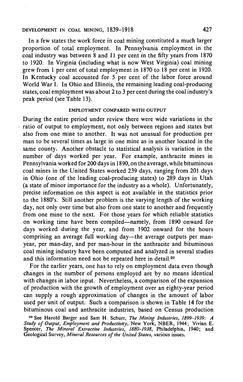In a few states the work force in coal mining constituted a much larger proportion of total employment. In Pennsylvania employment in the coal industry was between 8 and 11 per cent in the fifty years from 1870 to 1920. In Virginia (including what is now West Virginia) coal mining grew from 1 per cent of total employment in 1870 to 18 per cent in 1920. In Kentucky coal accounted for 5 per cent of the labor force around World War I. In Ohio and Illinois, the remaining leading coal-producing states, coal employment was about 2 to 3 per cent during the coal industry's peak period (see Table 13).

# EMPLOYMENT COMPARED WITH OUTPUT

During the entire period under review there were wide variations in the ratio of output to employment, not only between regions and states but also from one mine to another. It was not unusual for production per man to be several times as large in one mine as in another located in the same county. Another obstacle to statistical analysis is variation in the number of days worked per year. For example, anthracite mines in Pennsylvania worked for 200 days in 1890, on the average, while bituminous coal mines in the United States worked 239 days, ranging from 201 days in Ohio (one of the leading coal-producing states) to 289 days in Utah (a state of minor importance for the industry as a whole). Unfortunately, precise information on this aspect is not available in the statistics prior to the 1880's. Still another problem is the varying length of the working day, not only over time but also from one state to another and frequently from one mine to the next. For those years for which reliable statistics on working time have been compiled—namely, from 1890 onward for days worked during the year, and from 1902 onward for the hours comprising an average full working day—the average outputs per manyear, per man-day, and per man-hour in the anthracite and bituminous coal mining industry have been computed and analyzed in several studies and this information need not be repeated here in detail.<sup>20</sup>

For the earlier years, one has to rely on employment data even though changes in the number of persons employed are by no means identical with changes in labor input. Nevertheless, a comparison of the expansion of production with the growth of employment over an eighty-year period can supply a rough approximation of changes in the amount of labor used per unit of output. Such a comparison is shown in Table 14 for the bituminous coal and anthracite industries, based on Census production

<sup>20</sup> See Harold Barger and Sam H. Schurr, The Mining Industries, 1899–1939: A Study of Output, Employment and Productivity, New York, NBER, 1944; Vivian E. Spencer, The Mineral Extractive Industries, 1880–1938, Philadelphia, 1940; and Geological Survey, Mineral Resources of the United States, various issues.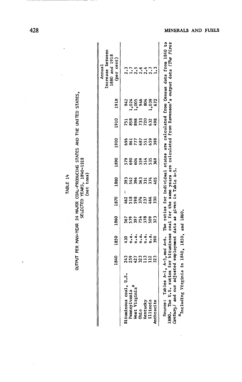| ፤ |  |
|---|--|
|   |  |
| ш |  |
|   |  |
|   |  |
| ą |  |
|   |  |

# TABLE 14<br>IN MAJOR COAL-PRODUCING STA<br>SELECTED YEARS, 1840-1918 OUTPUT PER MAN-YEAR IN MAJOR COAL-PRODUCING STATES AND THE UNITED STATES,

| w<br>8 |
|--------|
| ٨      |
| ដឹ     |
|        |

| 8 |          |                                                                           |                                                           |                       |              |                            |                                |                       |              |               | <b>MINERALS AND</b>                                                                                                                                                                                                                                | <b>FUI</b> |
|---|----------|---------------------------------------------------------------------------|-----------------------------------------------------------|-----------------------|--------------|----------------------------|--------------------------------|-----------------------|--------------|---------------|----------------------------------------------------------------------------------------------------------------------------------------------------------------------------------------------------------------------------------------------------|------------|
|   |          |                                                                           | Increase Between<br>1880 and 1918<br>(per cent)<br>Annual |                       |              |                            |                                |                       |              | $\frac{1}{2}$ | Source: Tables A-1, A-5, and A-6. The ratios for individual states are calculated from Census data from 1840 to                                                                                                                                    |            |
|   |          | OUTPUT PER MAN-YEAR IN MAJOR COAL-PRODUCING STATES AND THE UNITED STATES, | 1918                                                      | 942                   |              |                            | 1,024<br>1,005<br>1,004<br>804 |                       | 1,039        | 672           |                                                                                                                                                                                                                                                    |            |
|   |          |                                                                           | 1910                                                      |                       |              |                            | <b>288222</b><br>288222        |                       |              | 498           |                                                                                                                                                                                                                                                    |            |
|   |          |                                                                           | 1900                                                      |                       |              | <b>827</b><br>827          |                                |                       |              | 8538          |                                                                                                                                                                                                                                                    |            |
|   |          |                                                                           | 1890                                                      |                       |              |                            | <b>ngganing</b>                |                       |              |               |                                                                                                                                                                                                                                                    |            |
|   | TABLE 14 | SELECTED YEARS, 1840-1918<br>(net tons)                                   | 1880                                                      |                       | 393          |                            |                                |                       |              | <b>883359</b> |                                                                                                                                                                                                                                                    |            |
|   |          |                                                                           | 1870                                                      |                       |              |                            | <b>358356</b><br>95858         |                       |              | 330           |                                                                                                                                                                                                                                                    |            |
|   |          |                                                                           | 1860                                                      | 567                   | 579          |                            | <b>angga</b>                   |                       |              |               |                                                                                                                                                                                                                                                    |            |
|   |          |                                                                           | 1850                                                      | 430                   | $n \cdot a$  | 1.4.                       |                                | $\frac{a}{n}$ . $a$ . | $\ddot{a}$ . | 390           |                                                                                                                                                                                                                                                    |            |
|   |          |                                                                           | 1840                                                      | 243                   |              |                            | 232122                         |                       |              |               |                                                                                                                                                                                                                                                    |            |
|   |          |                                                                           |                                                           | Bituminous coal, U.S. | Pennsylvania | West Virginia <sup>a</sup> | Oh1 o                          | Kentucky              | Illinois     | Anthracite    | 1880. The U.S. ratios for bituminous coal for the same years are calculated from Eavenson's output data (The First<br>Century) and our adjusted employment data as given in Table A-5.<br>$a_{\text{Including}}$ Virginia in 1840, 1850, and 1860. |            |

 $\ddot{\phantom{0}}$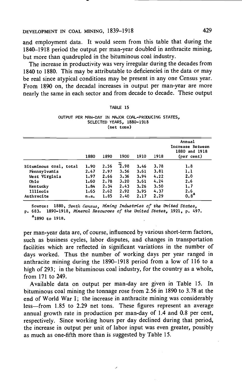and employment data. It would seem from this table that during the 1840—1918 period the output per man-year doubled in anthracite mining, but more than quadrupled in the bituminous coal industry.

The increase in productivity was very irregular during the decades from 1840 to 1880. This may be attributable to deficiencies in the data or may be real since atypical conditions may be present in any one Census year. From 1890 on, the decadal increases in output per man-year are more nearly the same in each sector and from decade to decade. These output

| TABLE 15 |  |
|----------|--|
|----------|--|

|                        |               |      | (net tons) |      |      |                                                           |
|------------------------|---------------|------|------------|------|------|-----------------------------------------------------------|
|                        | 1880          | 1890 | 1900       | 1910 | 1918 | Annual<br>Increase Between<br>1880 and 1918<br>(per cent) |
|                        |               |      |            |      |      |                                                           |
| Bituminous coal, total | 1.90          | 2.56 | 2.98       | 3.46 | 3.78 | 1.8                                                       |
| Pennsylvania           | 2.47          | 2.97 | 3.56       | 3.61 | 3.81 | 1.1                                                       |
| West Virginia          | 1.97          | 2.66 | 3.36       | 3.94 | 4.22 | 2.0                                                       |
| Ohio                   | 1.60          | 2.78 | 3.20       | 3.61 | 4.24 | 2.6                                                       |
| Kentucky               | 1.84          | 2.34 | 2.43       | 3.26 | 3.50 | 1,7                                                       |
| Illinois               | 1.65          | 2.62 | 2.92       | 3.95 | 4.37 | 2.6                                                       |
| Anthracite             | $n \cdot a$ . | 1.85 | 2.40       | 2.17 | 2.29 | 0.8 <sup>4</sup>                                          |

|            |  |  |  | OUTPUT PER MAN-DAY IN MAJOR COAL-PRODUCING STATES, |  |  |
|------------|--|--|--|----------------------------------------------------|--|--|
|            |  |  |  | SELECTED YEARS, 1880-1918                          |  |  |
| (net tons) |  |  |  |                                                    |  |  |

Source: 1880, Tenth Census, Mining Industries of the United States, p. 683. 1890—1918, Mineral Resources of the United Statea, 1921, p. 497. a<br>1890 to 1918.

per man-year data are, of course, influenced by various short-term factors, such as business cycles, labor disputes, and changes in transportation facilities which are reflected in significant variations in the number of days worked. Thus the number of working days per year ranged in anthracite mining during the 1890—1918 period from a low of 116 to a high of 293; in the bituminous coal industry, for the country as a whole, from 171 to 249.

Available data on output per man-day are given in Table 15. In bituminous coal mining the tonnage rose from 2.56 in 1890 to 3.78 at the end of World War I; the increase in anthracite mining was considerably less—from 1.85 to 2.29 net tons. These figures represent an average annual growth rate in production per man-day of 1.4 and 0.8 per cent, respectively. Since working hours per day declined during that period, the increase in output per unit of labor input was even greater, possibly as much as one-fifth more than is suggested by Table 15.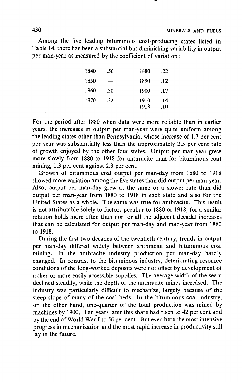Among the five leading bituminous coal-producing states listed in Table 14, there has been a substantial but diminishing variability in output per man-year as measured by the coefficient of variation:

| 1840 | .56 | 1880 | .22 |  |
|------|-----|------|-----|--|
| 1850 |     | 1890 | .12 |  |
| 1860 | .30 | 1900 | -17 |  |
| 1870 | .32 | 1910 | .14 |  |
|      |     | 1918 | .10 |  |

For the period after 1880 when data were more reliable than in earlier years, the increases in output per man-year were quite uniform among the leading states other than Pennsylvania, whose increase of 1.7 per cent per year was substantially less than the approximately 2.5 per cent rate of growth enjoyed by the other four states. Output per man-year grew more slowly from 1880 to 1918 for anthracite than for bituminous coal mining, 1.3 per cent against 2.3 per cent.

Growth of bituminous coal output per man-day from 1880 to 1918 showed more variation among the five states than did output per man-year. Also, output per man-day grew at the same or a slower rate than did output per man-year from 1880 to 1918 in each state and also for the United States as a whole. The same was true for anthracite. This result is not attributable solely to factors peculiar to 1880 or 1918, for a similar relation holds more often than not for all the adjacent decadal increases that can be calculated for output per man-day and man-year from 1880 to 1918.

During the first two decades of the twentieth century, trends in output per man-day differed widely between anthracite and bituminous coal mining. In the anthracite industry production per man-day hardly changed. In contrast to the bituminous industry, deteriorating resource conditions of the long-worked deposits were not offset by development of richer or more easily accessible supplies. The average width of the seam declined steadily, while the depth of the anthracite mines increased. The industry was particularly difficult to mechanize, largely because of the steep slope of many of the coal beds. In the bituminous coal industry, on the other hand, one-quarter of the total production was mined by machines by 1900. Ten years later this share had risen to 42 per cent and by the end of World War I to 56 per cent. But even here the most intensive progress in mechanization and the most rapid increase in productivity still lay in the future.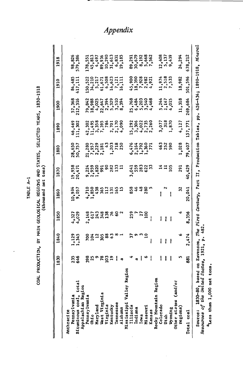| È      | ۴ |
|--------|---|
| ш      | U |
| ą<br>۴ | 닝 |

|                              | 1830                    | 1840                                                        | 1850                     | 1860                                 | 1870                     | 1880                                                | 1890                                 | 1900                                                                                  | 1910                                                    | 1918                                                                        |
|------------------------------|-------------------------|-------------------------------------------------------------|--------------------------|--------------------------------------|--------------------------|-----------------------------------------------------|--------------------------------------|---------------------------------------------------------------------------------------|---------------------------------------------------------|-----------------------------------------------------------------------------|
| Anthracite                   |                         |                                                             |                          |                                      |                          |                                                     |                                      |                                                                                       |                                                         |                                                                             |
| Pennsylvania                 |                         | 1,129                                                       |                          |                                      |                          |                                                     |                                      |                                                                                       |                                                         |                                                                             |
| Bituminous coal, total       | 235<br>646              | 1,345                                                       | 4,327<br>4,029           | 10,984<br>9,057                      | 19,958<br>20,471         | 28,650<br>50,757                                    | 46,469<br>111,302                    | 57,368<br>212,316                                                                     | 84,485<br>417,111                                       | 98,826<br>579,386                                                           |
| Appalachian Region           |                         |                                                             |                          |                                      |                          |                                                     |                                      |                                                                                       |                                                         |                                                                             |
| Pennsylvania                 |                         | g                                                           | 2,148                    |                                      |                          | 21,280                                              |                                      | 79,842                                                                                | 150, 522                                                | $178, 551$<br>$45, 813$<br>$4, 497$                                         |
| Ohio                         |                         |                                                             |                          |                                      |                          |                                                     |                                      |                                                                                       |                                                         |                                                                             |
| Maryland                     |                         |                                                             |                          |                                      | 9,224<br>2,959<br>1,820  |                                                     |                                      |                                                                                       |                                                         |                                                                             |
| West Virginia                | ត្តពុ <sub>ង ២</sub> ៩៦ | $\vec{a}$ $\vec{a}$ $\vec{a}$ $\vec{a}$ $\vec{a}$ $\vec{a}$ |                          |                                      |                          | 7,957<br>2,229<br>2,181                             | $42,302$<br>11,495<br>7,358<br>7,395 |                                                                                       |                                                         |                                                                             |
| Virginia                     |                         |                                                             |                          |                                      |                          | $\frac{4}{3}$                                       | 784                                  |                                                                                       |                                                         |                                                                             |
| Kentucky                     |                         |                                                             |                          |                                      |                          |                                                     |                                      |                                                                                       |                                                         |                                                                             |
| Tennessee                    |                         | $\infty$                                                    | <b>2332602</b><br>233260 | 4,288<br>28882151951<br>4,2881151951 | <b>Segund</b>            | 1,203<br>718<br>250                                 | 2,701<br>2,170<br>4,090              | $13,988$<br>$3,943$<br>$4,943$<br>$5,933$<br>$6,933$<br>$7,930$<br>$7,930$<br>$7,930$ | 34,217<br>5,217 3023<br>5,5023<br>5,111<br>5,111        | $\begin{array}{c} 89,936 \\ 10,290 \\ 31,613 \\ 6,831 \\ 9,185 \end{array}$ |
| Alabama                      | $\mathbf{r}$            |                                                             |                          |                                      |                          |                                                     |                                      | 8,394                                                                                 |                                                         |                                                                             |
| Valley Region<br>Mississippi |                         |                                                             |                          |                                      |                          |                                                     |                                      |                                                                                       |                                                         |                                                                             |
| Illinois                     |                         | 57                                                          | 259                      |                                      |                          |                                                     |                                      | 25,768                                                                                |                                                         |                                                                             |
| Indi ana                     | a,                      |                                                             | $\overline{\phantom{0}}$ |                                      |                          |                                                     |                                      |                                                                                       |                                                         |                                                                             |
| Iova                         | ł                       | ຈິຕ                                                         | 27                       | 뚫 우 명 e m                            | <b>1</b><br>1983<br>1983 | $5,380$<br>$5,380$<br>$5,380$<br>$7,360$<br>$7,360$ |                                      | 6,484<br>5,203<br>6,468                                                               | $45,928$<br>$18,928$<br>$7,928$<br>$18,928$<br>$14,921$ | 89,291<br>30,679<br>8,192<br>5,562<br>7,562                                 |
| Missouri                     | $\circ$                 |                                                             | 100                      |                                      |                          |                                                     |                                      |                                                                                       |                                                         |                                                                             |
| Kansas                       | ł                       | ł                                                           | Ì                        |                                      |                          |                                                     |                                      |                                                                                       |                                                         |                                                                             |
| Rocky Mountain Region        |                         |                                                             |                          |                                      |                          |                                                     |                                      |                                                                                       |                                                         |                                                                             |
| Colorado                     | I                       | ł                                                           | ı                        | I                                    | 372                      | <b>463</b><br>482<br>590                            |                                      | 5,244                                                                                 |                                                         |                                                                             |
| Utah                         | ı                       | I                                                           |                          |                                      |                          |                                                     |                                      |                                                                                       |                                                         |                                                                             |
| Wyoming                      | ł                       | ł                                                           | ł                        | I                                    |                          |                                                     | 3,077<br>1,870<br>1,870              | 1,147<br>4,015                                                                        | $\frac{11,974}{2,518}$                                  | $12,408$<br>5,137<br>9,439                                                  |
| Other states (and/or         |                         |                                                             |                          |                                      |                          |                                                     |                                      |                                                                                       |                                                         |                                                                             |
| regions)                     |                         | م                                                           |                          | 32                                   | 291                      | 1,028                                               | 4,127                                | 11,318                                                                                | 18,982                                                  | 24,294                                                                      |
| Total coal                   | 881                     | 2,474                                                       | 8,356                    | 20,041                               | 40,429                   | 79,407                                              | 157,771                              | 269,684                                                                               | 501,596                                                 | 678,212                                                                     |

Appendix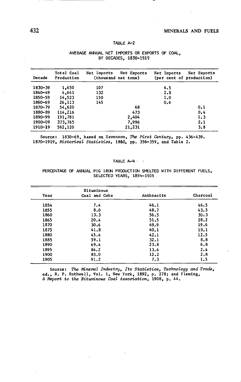### TABLE A—2

|             |                                 | AVERAGE ANNUAL NET IMPORTS OR EXPORTS OF COAL. | BY DECADES, 1830-1919 |                                         |             |
|-------------|---------------------------------|------------------------------------------------|-----------------------|-----------------------------------------|-------------|
| Decade      | <b>Total Coal</b><br>Production | Net Imports<br>(thousand net tons)             | Net Exports           | Net Imports<br>(per cent of production) | Net Exports |
| 1830-39     | 1,650                           | 107                                            |                       | 6.5                                     |             |
| 1840-49     | 4.641                           | 132                                            |                       | 2.8                                     |             |
| 1850-59     | 14,523                          | 150                                            |                       | 1.0                                     |             |
| 1860-69     | 26,113                          | 145                                            |                       | 0.6                                     |             |
| 1870-79     | 54,620                          |                                                | 68                    |                                         | 0.1         |
| 1880-89     | 114.216                         |                                                | 473                   |                                         | 0.4         |
| 1890-99     | 191,781                         |                                                | 2,404                 |                                         | 1.3         |
| 1900-09     | 373.765                         |                                                | 7,996                 |                                         | 2.1         |
| $1910 - 19$ | 562,120                         |                                                | 21,231                |                                         | 3.8         |

### AVERAGE ANNUAL NET IMPORTS OR EXPORTS OF COAL, BY DECADES, 1830—1919

Source: 1830-69, based on Eavenson, The First Century, pp. 436-439. 1870—1919, Historical Statistics, 1960, pp. 356—359, and Table 2.

### TABLE A-4

### Bituminous Year Coal and Coke Anthracite Charcoal 1854 7.4 46.1 46.5 1855 8.0 48.7 43.3 1860 13.3 56.5 30.3 1865 20.4 51.5 28.2 1870 30.6 49.9 19.6 1875 41.8 40.1 18.1 1880 45.4 42.1 12.5  $1885$   $59.1$   $32.1$   $8.8$ 1890 69.4 23.8 6.8  $1895$  84.2 13.4 2.4 1995 1900 85.0 12.2 2.8 1905 91.2 7.3 1.5

PERCENTAGE OF ANNUAL PIG IRON PRODUCTION SMELTED WITH DIFFERENT FUELS, SELECTED YEARS, 1854-1905

Source: The Mineral Industry, Its Statistics, Technology and Trade, ed., R. P. Rothwell, Vol. I, New York, 1892, p. 278; and Fleming, <sup>A</sup> Report to the Bitwninous Coal Association, 1908, p. 44.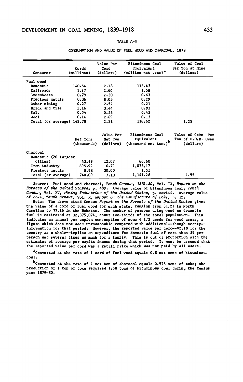| TABLE A-3 |  |  |
|-----------|--|--|
|-----------|--|--|

CONSUMPTION AND VALUE OF FUEL WOOD AND CHARCOAL, 1879

| <b>Consumer</b>           | Cords<br>(millions)      | Value Per<br>Cord<br>(dollars)    | <b>Bituminous Coal</b><br>Equivalent<br>(million net tons) <sup>a</sup> | Value of Coal<br>Per Ton at Mine<br>(dollars)        |
|---------------------------|--------------------------|-----------------------------------|-------------------------------------------------------------------------|------------------------------------------------------|
| Fuel wood                 |                          |                                   |                                                                         |                                                      |
| Domestic                  | 140.54                   | 2.18                              | 112.43                                                                  |                                                      |
| Railroads                 | 1.97                     | 2.60                              | 1.58                                                                    |                                                      |
| Steamboats                | 0.79                     | 2.30                              | 0.63                                                                    |                                                      |
| Precious metals           | 0.36                     | 8.03                              | 0.29                                                                    |                                                      |
| Other mining              | 0.27                     | 2.52                              | 0.21                                                                    |                                                      |
| Brick and tile            | 1.16                     | 3.44                              | 0.93                                                                    |                                                      |
| Salt                      | 0.54                     | 0.23                              | 0.43                                                                    |                                                      |
| Wool                      | 0.16                     | 2.69                              | 0.13                                                                    |                                                      |
| Total (or average) 145.78 |                          | 2.21                              | 116.62                                                                  | 1.25                                                 |
|                           | Net Tons<br>(thous ands) | Value Per<br>Net Ton<br>(dollars) | <b>Bituminous Coal</b><br>Equivalent<br>(thous and net tons)            | Value of Coke Per<br>Ton of F.O.B. Oven<br>(dollars) |
| Charcoal                  |                          |                                   |                                                                         |                                                      |
| Domestic (20 largest      |                          |                                   |                                                                         |                                                      |
| cities)                   | 43.19                    | 12.07                             | 66,60                                                                   |                                                      |
| Iron industry             | 695.92                   | 6.79                              | 1,073.17                                                                |                                                      |
| Precious metals           | 0.98                     | 30.00                             | 1.51                                                                    |                                                      |
| Total (or average)        | 740.09                   | 7.13                              | 1,141.28                                                                | 1.95                                                 |

Source: Fuel wood and charcoal, Tenth Census, 1879-80, Vol. IX, Report on the<br>Forests of the United States, p. 489. Average value of bituminous coal, Tenth<br>Census, Vol. XV, Mining Industries of the United States, p. xxviii of coke, Tenth Census, Vol. X, Report on the Manufacture of Coke, p. 12.

Note: The above cited Census Report on the Forests of the United States gives the value of a cord of fuel wood for each state, ranging from \$1.21 in North Carolina to \$7.16 in the Bakotas. The number of persons using wood as domestic fuel is estimated at  $32,375,074$ , about two-thirds of the total Consider the wood and characterized, then the mass, so so to the minious coal, for the Cansus, Vol. XV, Mining Industries of the United States, p. xxviii. Average value of coke, Tenth Census, Vol. X, Report on the Manufac fuel is estimated at 32,375,074, about two—thirds of the total population. This indicates an annual per capita consumption of some 4 1/3 cords for wood users, a figure which does not seem unreasonable compared with additional—though scanty--<br>information for that period. However, the reported value per cord--\$2.18 for the country as a whole——implies an expenditure for domestic fuel of more than \$9 per person and several times as much for a family. This is out of proportion with the indicates an annual per capita consumption of some 4 1/3 cords for wood users, a<br>figure which does not seem unreasonable compared with ddditional—though scanty--<br>information for that period. However, the reported value pe estimates of average per capita income during that period. It must be assumed that the reported value per cord was a retail price which was not paid by all users.

 ${}^{a}$ Converted at the rate of 1 cord of fuel wood equals 0.8 net tons of bituminous coal.

bConverted at the rate of 1 net ton of charcoal equals 0.976 tons of coke; the production of 1 ton of coke required 1.58 tons of bituminous coal during the Census year 1879—80.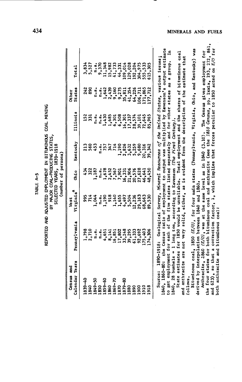|                              |                                                                                                                                                                                                                                | REPORTED AND ADJUSTED EMPLOYMENT IN BITUMINOUS COAL MINING | SELECTED YEARS, 1839-1918<br>(number of persons) | BY MAJOR COAL-PRODUCING STATES, |             |                 |                  |
|------------------------------|--------------------------------------------------------------------------------------------------------------------------------------------------------------------------------------------------------------------------------|------------------------------------------------------------|--------------------------------------------------|---------------------------------|-------------|-----------------|------------------|
| Calendar Years<br>Census and | Pennsylvania                                                                                                                                                                                                                   | Virginia <sup>a</sup><br>Nest                              | Ohio                                             | Kentucky                        | Illinois    | States<br>Other | Total            |
| 1839-40                      | 1,798                                                                                                                                                                                                                          | 995                                                        | 434                                              | 213                             | 52          | 242             | 3,834            |
| 1840                         | 2,710                                                                                                                                                                                                                          | 714                                                        | 322                                              | 560                             | 331         | 890             | 5,527            |
| 1849-50                      | $\mathbf{n}$ .a.                                                                                                                                                                                                               | 1,044                                                      | 1,187                                            | 453                             | 1.4.        | i.i             | $\ddot{a}$       |
| 1859-60<br>1850              | 4,651<br>$\ddot{a}$                                                                                                                                                                                                            | 1,190<br>i                                                 | 1,678<br>i.                                      | 757<br>n.a.                     | 1,430<br>i. | <b>់</b>        | 9,370            |
| 1860                         | 8,141                                                                                                                                                                                                                          | 918                                                        | 2,452                                            | 347                             | 1,685       | 1,642<br>2,439  | 11,348<br>15,982 |
| 1869-70                      | 16,851                                                                                                                                                                                                                         | 1,140                                                      | 7,567                                            | 714                             | 6,301       | 9,160           | 41,733           |
| 1870                         | 17,802                                                                                                                                                                                                                         | 1,655                                                      | 7,901                                            | 1,190                           | 6,508       | 9,275           | 44,331           |
| 1879-80                      | 33,248                                                                                                                                                                                                                         | 4,497                                                      | 16,331                                           | 2,826                           | 16,301      | 35,811          | 109,014          |
| 1880                         | 39,295                                                                                                                                                                                                                         | 5,504                                                      | 21,906                                           | 3,632                           | 17,337      | 41,354          | 129,028          |
| 1890                         | 61,333                                                                                                                                                                                                                         | 12,236                                                     | 20,576                                           | 5,259                           | 28,574      | 64,226          | 192,204          |
| 1900                         | 92,692                                                                                                                                                                                                                         | 29,163                                                     | 27,628                                           | 9,680                           | 39,101      | 106,711         | 304,975          |
| 1910                         | 175,403                                                                                                                                                                                                                        | 68,663                                                     | 46,641                                           | 20,316                          | 72,645      | 171,865         | 555,533          |
| 1918                         | 174,306                                                                                                                                                                                                                        | 89,530                                                     | 48,450                                           | 39,342                          | 85,965      | 177,712         | 615,305          |
|                              | Source: 1890-1918: Geological Survey, Mineral Resources of the United States, various issues;                                                                                                                                  |                                                            |                                                  |                                 |             |                 |                  |
|                              | 1840, 1860-80: the Census ratio of employment to output was multiplied by Eavenson's output estimate                                                                                                                           |                                                            |                                                  |                                 |             |                 |                  |
|                              | to get employment for each of the five states listed separately and for other states as a group.                                                                                                                               |                                                            |                                                  |                                 |             |                 | E                |
|                              | 1840, 28 bushels = 1 long ton, according to Eavenson (The First Century).                                                                                                                                                      |                                                            |                                                  |                                 |             |                 |                  |
|                              | State estimates for 1850 would be unreliable. Total employment and the shares of bituminous coal                                                                                                                               |                                                            |                                                  |                                 |             |                 |                  |
| follows.                     | and anthracite are not very solid, either, as is evident from the description of the estimate that                                                                                                                             |                                                            |                                                  |                                 |             |                 |                  |
|                              | Bituminous coal, 1850 (E/O), for four main states (Pennsylvania, Virginia, Chio, and Kentucky) was                                                                                                                             |                                                            |                                                  |                                 |             |                 |                  |
|                              | derived by interpolation between 1840 and 1860.                                                                                                                                                                                |                                                            |                                                  |                                 |             |                 |                  |
|                              | Anthracite, 1860 ( $E/O$ ), was at the same level as in 1840 (3.10). The Census gives employment for                                                                                                                           |                                                            |                                                  |                                 |             |                 |                  |
|                              | the four states for both bituminous coal and anthracite (see the 1850 Census, pp. 1xxix, 193, 272, 861,<br>and $623$ ), so that a correction factor, $\lambda$ , which implies that forces peculiar to 1850 acted on $E/O$ for |                                                            |                                                  |                                 |             |                 |                  |
|                              | both anthracite and bituminous coal:                                                                                                                                                                                           |                                                            |                                                  |                                 |             |                 |                  |
|                              |                                                                                                                                                                                                                                |                                                            |                                                  |                                 |             |                 |                  |
|                              |                                                                                                                                                                                                                                |                                                            |                                                  |                                 |             |                 |                  |
|                              |                                                                                                                                                                                                                                |                                                            |                                                  |                                 |             |                 |                  |
|                              |                                                                                                                                                                                                                                |                                                            |                                                  |                                 |             |                 |                  |
|                              |                                                                                                                                                                                                                                |                                                            |                                                  |                                 |             |                 |                  |
|                              |                                                                                                                                                                                                                                |                                                            |                                                  |                                 |             |                 |                  |

TABLE A-5<br>Eported and aquusted employment in Bituminous coal mining

434

MINERALS AND FUELS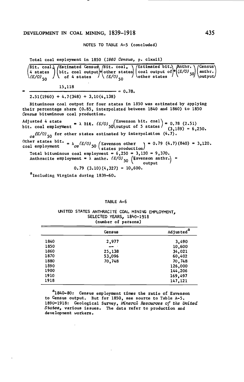NOTES TO TABLE A—5 (concluded)

Total coal employment in 1850 (1860 Census, p. clxxii)

| (Bit. coal.) (Estimated Census) (Bit. coal.) (Estimated bit.) (Anthr.) (Census)<br>(4 states (E/O) <sub>50</sub> (E/O) <sub>50</sub> (E/O) <sub>50</sub> (E/O) <sub>50</sub> (E/O) <sub>50</sub> (E/O) <sub>50</sub> (E/O) <sub>50</sub> (E/O) <sub>50</sub> (ensure) |  |
|-----------------------------------------------------------------------------------------------------------------------------------------------------------------------------------------------------------------------------------------------------------------------|--|
| 15,118<br>$- = 0.78.$                                                                                                                                                                                                                                                 |  |
| $2.51(1960) + 4.7(348) + 3.10(4.138)$                                                                                                                                                                                                                                 |  |
| Bituminous coal output for four states in 1850 was estimated by applying<br>their percentage share (0.85, interpolated between 1840 and 1860) to 1850<br>Census bituminous coal production.                                                                           |  |
| Adjusted 4 state $\bullet$ $\lambda$ Bit. (E/O) $\int_{0}^{\frac{\text{Eavenson bit. coal}}{1.399}}$ $\bullet$ 0.78 (2.51)<br>bit. coal employment $\bullet$ $\lambda$ Bit. (E/O) $\int_{0}^{\frac{\text{Eavenson bit. coal}}{3.1899}}$ = 6.250.                      |  |
| $\sigma$ <sub>50</sub> (E/O) <sub>50</sub> for other states estimated by interpolation (4.7).                                                                                                                                                                         |  |
| Other states bit. $\Delta_{OS}(E/O)$ 50 (Eavenson other ) = 0.79 (4.7) (840) = 3,120.<br>coal employment                                                                                                                                                              |  |
| Total bituminous coal employment = $6,250 = 3,120 = 9,370$ .<br>Anthracite employment = $\lambda$ anthr. (E/O) $_{50}$ (Eavens on anthr.) = output                                                                                                                    |  |
| $0.79$ $(3.10)(4.327) = 10,600$                                                                                                                                                                                                                                       |  |
| <sup>a</sup> Including Virginia during 1839-60.                                                                                                                                                                                                                       |  |

### TABLE A—6

UNITED STATES ANThRACITE COAL MINING EMPLOYMENT, SELECTED YEARS, 1840-1918 (number of persons)

|      | Census | Adjusted <sup>a</sup> |
|------|--------|-----------------------|
| 1840 | 2,977  | 3,490                 |
| 1850 | --     | 10,600                |
| 1860 | 25,138 | 34,021                |
| 1870 | 53,096 | 60,402                |
| 1880 | 70,748 | 70,748                |
| 1890 |        | 126,000               |
| 1900 |        | 144,206               |
| 1910 |        | 169,497               |
| 1918 |        | 147,121               |

 $a_{1840-80}$ : Census employment times the ratio of Eavenson to <sup>C</sup>ensus output. But for 1850, see source to Table A-5.<br>1890-1918: Geological Survey, *Mineral Resources of the United* States, various issues. The data refer to production and development workers.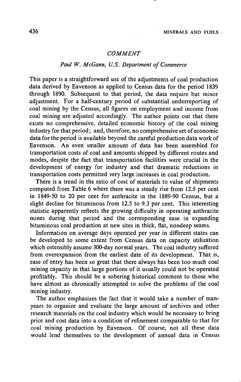### **COMMENT**

# Paul W. McGann, U.S. Department of Commerce

This paper is a straightforward use of the adjustments of coal production data derived by Eavenson as applied to Census data for the period 1839 through 1890. Subsequent to that period, the data require but minor adjustment. For a half-century period of substantial underreporting of coal mining by the Census, all figures on employment and income from coal mining are adjusted accordingly. The author points out that there exists no comprehensive, detailed economic history of the coal mining industry for that period; and, therefore, no comprehensive set of economic data for the period is available beyond the careful production data work of Eávenson. An even smaller amount of data has been assembled for transportation costs of coal and amounts shipped by different routes and modes, despite the fact that transportation facilities were crucial in the development of energy for industry and that dramatic reductions in transportation costs permitted very large increases in coal production.

There is a trend in the ratio of cost of materials to value of shipments computed from Table 6 where there was a steady rise from 12.5 per cent in 1849-50 to 20 per cent for anthracite in the 1889-90 Census, but a slight decline for bituminous from 12.5 to 9.3 per cent. This interesting statistic apparently reflects the growing difficulty in operating anthracite mines during that period and the corresponding ease in expanding bituminous coal production at new sites in thick, flat, nondeep seams.

Information on average days operated per year in different states can be developed to some extent from Census data on capacity utilization which ostensibly assume 300-day normal years. The coal industry suffered from overexpansion from the earliest date of its development. That is, ease of entry has been so great that there always has been too much coal mining capacity in that large portions of it usually could not be operated profitably. This should be a sobering historical comment to those who have almost as chronically attempted to solve the problems of the coal mining industry.

The author emphasizes the fact that it would take a number of manyears to organize and evaluate the large amount of archives and other research materials on the coal industry which would be necessary to bring price and cost data into a condition of refinement comparable to that for coal mining production by Eavenson. Of course, not all these data would lend themselves to the development of annual data in Census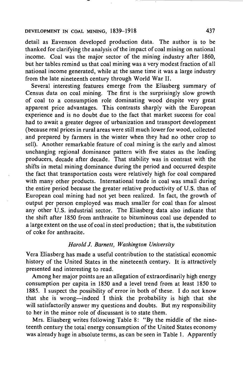detail as Eavenson developed production data. The author is to be thanked for clarifying the analysis of the impact of coal mining on national income. Coal was the major sector of the mining industry after 1860, but her tables remind us that coal mining was a very modest fraction of all national income generated, while at the same time it was a large industry from the late nineteenth century through World War II.

Several interesting features emerge from the Eliasberg summary of Census data on coal mining. The first is the surprisingly slow growth of coal to a consumption role dominating wood despite very great apparent price advantages. This contrasts sharply with the European experience and is no doubt due to the fact that market success for coal had to await a greater degree of urbanization and transport development (because real prices in rural areas were still much lower for wood, collected and prepared by farmers in the winter when they had no other crop to sell). Another remarkable feature of coal mining is the early and almost unchanging regional dominance pattern with five states as the leading producers, decade after decade. That stability was in contrast with the shifts in metal mining dominance during the period and occurred despite the fact that transportation costs were relatively high for coal compared with many other products. International trade in coal was small during the entire period because the greater relative productivity of U.S. than of European coal mining had not yet been realized. In fact, the growth of output per person employed was much smaller for coal than for almost any other U.S. industrial sector. The Eliasberg data also indicate that the shift after 1850 from anthracite to bituminous coal use depended to a large extent on the use of coal in steel production; that is, the substitution of coke for anthracite.

# Harold J. Barnett, Washington University

Vera Eliasberg has made a useful contribution to the statistical economic history of the United States in the nineteenth century. It is attractively presented and interesting to read.

Among her major points are an allegation of extraordinarily high energy consumption per capita in 1850 and a level trend from at least 1850 to 1885. I suspect the possibility of error in both of these. I do not know that she is wrong—indeed I think the probability is high that she will satisfactorily answer my questions and doubts. But my responsibility to her in the minor role of discussant is to state them.

Mrs. Eliasberg writes following Table 8: "By the middle of the nineteenth century the total energy consumption of the United States economy was already huge in absolute terms, as can be seen in Table 1. Apparently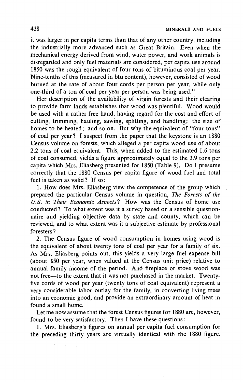it was larger in per capita terms than that of any other country, including the industrially more advanced such as Great Britain. Even when the mechanical energy derived from wind, water power, and work animals is disregarded and only fuel materials are considered, per capita use around 1850 was the rough equivalent of four tons of bituminous coal per year. Nine-tenths of this (measured in btu content), however, consisted of wood burned at the rate of about four cords per person per year, while only one-third of a ton of coal per year per person was being used."

Her description of the availability of virgin forests and their clearing to provide farm lands establishes that wood was plentiful. Wood would be used with a rather free hand, having regard for the cost and effort of cutting, trimming, hauling, sawing, splitting, and handling; the size of homes to be heated; and so on. But why the equivalent of "four tons" of coal per year? I suspect from the paper that the keystone is an 1880 Census volume on forests, which alleged a per capita wood use of about 2.2 tons of coal equivalent. This, when added to the estimated 1.6 tons of coal consumed, yields a figure approximately equal to the 3.9 tons per capita which Mrs. Eliasberg presented for 1850 (Table 9). Do I presume correctly that the 1880 Census per capita figure of wood fuel and total fuel is taken as valid? If so:

1. How does Mrs. Eliasberg view the competence of the group which prepared the particular Census volume in question, The Forests of the U.S. in Their Economic Aspects? How was the Census of home use conducted? To what extent was it a survey based on a sensible questionnaire and yielding objective data by state and county, which can be reviewed, and to what extent was it a subjective estimate by professional foresters?

2. The Census figure of wood consumption in homes using wood is the equivalent of about twenty tons of coal per year for a family of six. As Mrs. Eliasberg points out, this yields a very large fuel expense bill (about \$50 per year, when valued at the Census unit price) relative to annual family income of the period. And fireplace or stove wood was not free—to the extent that it was not purchased in the market. Twentyfive cords of wood per year (twenty tons of coal equivalent) represent a very considerable labor outlay for the family, in converting living trees into an economic good, and provide an extraordinary amount of heat in found a small home.

Let me now assume that the forest Census figures for 1880 are, however, found to be very satisfactory. Then I have these questions:

1. Mrs. Eliasberg's figures on annual per capita fuel consumption for the preceding thirty years are virtually identical with the 1880 figure.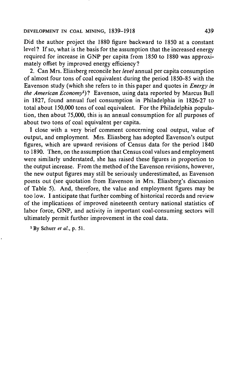Did the author project the 1880 figure backward to 1850 at a constant level? If so, what is the basis for the assumption that the increased energy required for increase in GNP per capita from 1850 to 1880 was approximately offset by improved energy efficiency?

2. Can Mrs. Eliasberg reconcile her level annual per capita consumption of almost four tons of coal equivalent during the period 1850—85 with the Eavenson study (which she refers to in this paper and quotes in Energy in the American Economy')? Eavenson, using data reported by Marcus Bull in 1827, found annual fuel consumption in Philadelphia in 1826-27 to total about 150,000 tons of coal equivalent. For the Philadelphia population, then about 75,000, this is an annual consumption for all purposes of about two tons of coal equivalent per capita.

I close with a very brief comment concerning coal output, value of output, and employment. Mrs. Eliasberg has adopted Eavenson's output figures, which are upward revisions of Census data for the period 1840 to 1890. Then, on the assumption that Census coal values and employment were similarly understated, she has raised these figures in proportion to the output increase. From the method of the Eavenson revisions, however, the new output figures may still be seriously underestimated, as Eavenson points out (see quotation from Eavenson in Mrs. Eliasberg's discussion of Table 5). And, therefore, the value and employment figures may be too low. I anticipate that further combing of historical records and review of the implications of improved nineteenth century national statistics of labor force, GNP, and activity in important coal-consuming sectors will ultimately permit further improvement in the coal data.

 $1$  By Schurr et al., p. 51.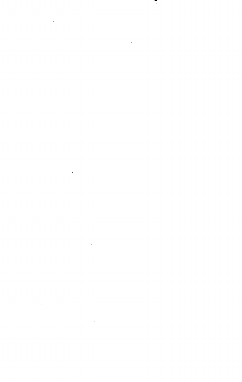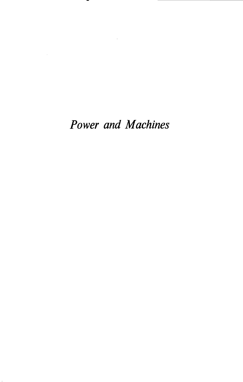Power and Machines

 $\label{eq:2.1} \frac{1}{\sqrt{2}}\int_{\mathbb{R}^3}\frac{1}{\sqrt{2}}\left(\frac{1}{\sqrt{2}}\right)^2\frac{1}{\sqrt{2}}\left(\frac{1}{\sqrt{2}}\right)^2\frac{1}{\sqrt{2}}\left(\frac{1}{\sqrt{2}}\right)^2\frac{1}{\sqrt{2}}\left(\frac{1}{\sqrt{2}}\right)^2\frac{1}{\sqrt{2}}\left(\frac{1}{\sqrt{2}}\right)^2\frac{1}{\sqrt{2}}\frac{1}{\sqrt{2}}\frac{1}{\sqrt{2}}\frac{1}{\sqrt{2}}\frac{1}{\sqrt{2}}\frac{1}{\sqrt{2}}$ 

 $\mathcal{L}^{\text{max}}_{\text{max}}$  , where  $\mathcal{L}^{\text{max}}_{\text{max}}$